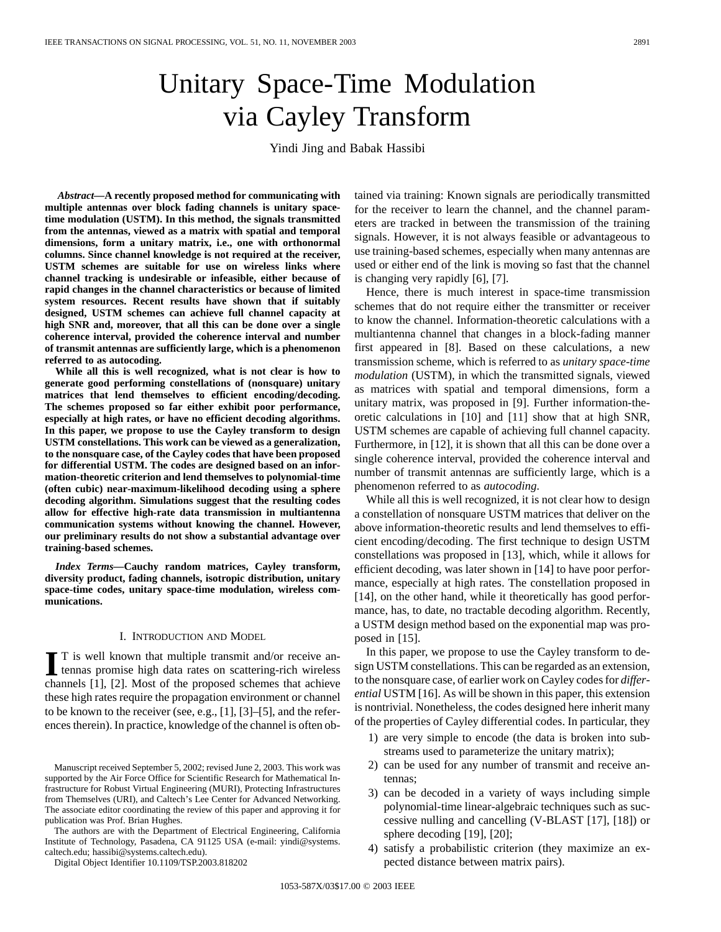# Unitary Space-Time Modulation via Cayley Transform

Yindi Jing and Babak Hassibi

*Abstract—***A recently proposed method for communicating with multiple antennas over block fading channels is unitary spacetime modulation (USTM). In this method, the signals transmitted from the antennas, viewed as a matrix with spatial and temporal dimensions, form a unitary matrix, i.e., one with orthonormal columns. Since channel knowledge is not required at the receiver, USTM schemes are suitable for use on wireless links where channel tracking is undesirable or infeasible, either because of rapid changes in the channel characteristics or because of limited system resources. Recent results have shown that if suitably designed, USTM schemes can achieve full channel capacity at high SNR and, moreover, that all this can be done over a single coherence interval, provided the coherence interval and number of transmit antennas are sufficiently large, which is a phenomenon referred to as autocoding.**

**While all this is well recognized, what is not clear is how to generate good performing constellations of (nonsquare) unitary matrices that lend themselves to efficient encoding/decoding. The schemes proposed so far either exhibit poor performance, especially at high rates, or have no efficient decoding algorithms. In this paper, we propose to use the Cayley transform to design USTM constellations. This work can be viewed as a generalization, to the nonsquare case, of the Cayley codes that have been proposed for differential USTM. The codes are designed based on an information-theoretic criterion and lend themselves to polynomial-time (often cubic) near-maximum-likelihood decoding using a sphere decoding algorithm. Simulations suggest that the resulting codes allow for effective high-rate data transmission in multiantenna communication systems without knowing the channel. However, our preliminary results do not show a substantial advantage over training-based schemes.**

*Index Terms—***Cauchy random matrices, Cayley transform, diversity product, fading channels, isotropic distribution, unitary space-time codes, unitary space-time modulation, wireless communications.**

#### I. INTRODUCTION AND MODEL

**I** T is well known that multiple transmit and/or receive an-<br>tennas promise high data rates on scattering-rich wireless channels [1], [2]. Most of the proposed schemes that achieve these high rates require the propagation environment or channel to be known to the receiver (see, e.g., [1], [3]–[5], and the references therein). In practice, knowledge of the channel is often ob-

The authors are with the Department of Electrical Engineering, California Institute of Technology, Pasadena, CA 91125 USA (e-mail: yindi@systems. caltech.edu; hassibi@systems.caltech.edu).

Digital Object Identifier 10.1109/TSP.2003.818202

tained via training: Known signals are periodically transmitted for the receiver to learn the channel, and the channel parameters are tracked in between the transmission of the training signals. However, it is not always feasible or advantageous to use training-based schemes, especially when many antennas are used or either end of the link is moving so fast that the channel is changing very rapidly [6], [7].

Hence, there is much interest in space-time transmission schemes that do not require either the transmitter or receiver to know the channel. Information-theoretic calculations with a multiantenna channel that changes in a block-fading manner first appeared in [8]. Based on these calculations, a new transmission scheme, which is referred to as *unitary space-time modulation* (USTM), in which the transmitted signals, viewed as matrices with spatial and temporal dimensions, form a unitary matrix, was proposed in [9]. Further information-theoretic calculations in [10] and [11] show that at high SNR, USTM schemes are capable of achieving full channel capacity. Furthermore, in [12], it is shown that all this can be done over a single coherence interval, provided the coherence interval and number of transmit antennas are sufficiently large, which is a phenomenon referred to as *autocoding*.

While all this is well recognized, it is not clear how to design a constellation of nonsquare USTM matrices that deliver on the above information-theoretic results and lend themselves to efficient encoding/decoding. The first technique to design USTM constellations was proposed in [13], which, while it allows for efficient decoding, was later shown in [14] to have poor performance, especially at high rates. The constellation proposed in [14], on the other hand, while it theoretically has good performance, has, to date, no tractable decoding algorithm. Recently, a USTM design method based on the exponential map was proposed in [15].

In this paper, we propose to use the Cayley transform to design USTM constellations. This can be regarded as an extension, to the nonsquare case, of earlier work on Cayley codes for *differential* USTM [16]. As will be shown in this paper, this extension is nontrivial. Nonetheless, the codes designed here inherit many of the properties of Cayley differential codes. In particular, they

- 1) are very simple to encode (the data is broken into substreams used to parameterize the unitary matrix);
- 2) can be used for any number of transmit and receive antennas;
- 3) can be decoded in a variety of ways including simple polynomial-time linear-algebraic techniques such as successive nulling and cancelling (V-BLAST [17], [18]) or sphere decoding [19], [20];
- 4) satisfy a probabilistic criterion (they maximize an expected distance between matrix pairs).

Manuscript received September 5, 2002; revised June 2, 2003. This work was supported by the Air Force Office for Scientific Research for Mathematical Infrastructure for Robust Virtual Engineering (MURI), Protecting Infrastructures from Themselves (URI), and Caltech's Lee Center for Advanced Networking. The associate editor coordinating the review of this paper and approving it for publication was Prof. Brian Hughes.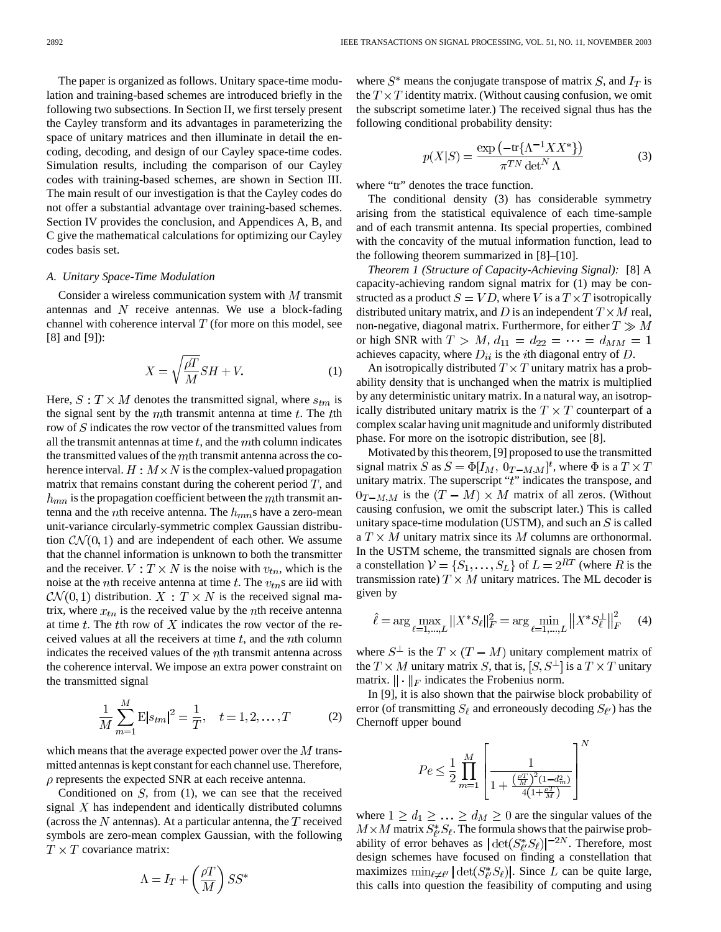The paper is organized as follows. Unitary space-time modulation and training-based schemes are introduced briefly in the following two subsections. In Section II, we first tersely present the Cayley transform and its advantages in parameterizing the space of unitary matrices and then illuminate in detail the encoding, decoding, and design of our Cayley space-time codes. Simulation results, including the comparison of our Cayley codes with training-based schemes, are shown in Section III. The main result of our investigation is that the Cayley codes do not offer a substantial advantage over training-based schemes. Section IV provides the conclusion, and Appendices A, B, and C give the mathematical calculations for optimizing our Cayley codes basis set.

## *A. Unitary Space-Time Modulation*

Consider a wireless communication system with  $M$  transmit antennas and  $N$  receive antennas. We use a block-fading channel with coherence interval  $T$  (for more on this model, see [8] and [9]):

$$
X = \sqrt{\frac{\rho T}{M}} S H + V.
$$
 (1)

Here,  $S: T \times M$  denotes the transmitted signal, where  $s_{tm}$  is the signal sent by the  $m$ th transmit antenna at time  $t$ . The  $t$ th row of  $S$  indicates the row vector of the transmitted values from all the transmit antennas at time  $t$ , and the  $m$ th column indicates the transmitted values of the  $m$ th transmit antenna across the coherence interval.  $H : M \times N$  is the complex-valued propagation matrix that remains constant during the coherent period  $T$ , and  $h_{mn}$  is the propagation coefficient between the mth transmit antenna and the *n*th receive antenna. The  $h_{mn}$ s have a zero-mean unit-variance circularly-symmetric complex Gaussian distribution  $CN(0, 1)$  and are independent of each other. We assume that the channel information is unknown to both the transmitter and the receiver.  $V: T \times N$  is the noise with  $v_{tn}$ , which is the noise at the *n*th receive antenna at time  $t$ . The  $v_{tn}$ s are iid with  $\mathcal{CN}(0,1)$  distribution.  $X: T \times N$  is the received signal matrix, where  $x_{tn}$  is the received value by the *n*th receive antenna at time  $t$ . The  $t$ th row of  $X$  indicates the row vector of the received values at all the receivers at time  $t$ , and the  $n$ th column indicates the received values of the  $n$ th transmit antenna across the coherence interval. We impose an extra power constraint on the transmitted signal

$$
\frac{1}{M} \sum_{m=1}^{M} \mathbf{E} |s_{tm}|^2 = \frac{1}{T}, \quad t = 1, 2, \dots, T
$$
 (2)

which means that the average expected power over the  $M$  transmitted antennas is kept constant for each channel use. Therefore,  $\rho$  represents the expected SNR at each receive antenna.

Conditioned on  $S$ , from (1), we can see that the received signal  $X$  has independent and identically distributed columns (across the  $N$  antennas). At a particular antenna, the  $T$  received symbols are zero-mean complex Gaussian, with the following  $T \times T$  covariance matrix:

$$
\Lambda = I_T + \left(\frac{\rho T}{M}\right) S S^*
$$

where  $S^*$  means the conjugate transpose of matrix S, and  $I_T$  is the  $T \times T$  identity matrix. (Without causing confusion, we omit the subscript sometime later.) The received signal thus has the following conditional probability density:

$$
p(X|S) = \frac{\exp\left(-\text{tr}\{\Lambda^{-1}XX^*\}\right)}{\pi^{TN}\det^N\Lambda}
$$
 (3)

where "tr" denotes the trace function.

The conditional density (3) has considerable symmetry arising from the statistical equivalence of each time-sample and of each transmit antenna. Its special properties, combined with the concavity of the mutual information function, lead to the following theorem summarized in [8]–[10].

*Theorem 1 (Structure of Capacity-Achieving Signal):* [8] A capacity-achieving random signal matrix for (1) may be constructed as a product  $S = VD$ , where V is a  $T \times T$  isotropically distributed unitary matrix, and D is an independent  $T \times M$  real, non-negative, diagonal matrix. Furthermore, for either  $T \gg M$ or high SNR with  $T > M$ ,  $d_{11} = d_{22} = \cdots = d_{MM} = 1$ achieves capacity, where  $D_{ii}$  is the *i*th diagonal entry of  $D$ .

An isotropically distributed  $T \times T$  unitary matrix has a probability density that is unchanged when the matrix is multiplied by any deterministic unitary matrix. In a natural way, an isotropically distributed unitary matrix is the  $T \times T$  counterpart of a complex scalar having unit magnitude and uniformly distributed phase. For more on the isotropic distribution, see [8].

Motivated by this theorem, [9] proposed to use the transmitted signal matrix S as  $S = \Phi[I_M, 0_{T-M,M}]^t$ , where  $\Phi$  is a  $T \times T$ unitary matrix. The superscript " $t$ " indicates the transpose, and  $0_{T-M,M}$  is the  $(T-M) \times M$  matrix of all zeros. (Without causing confusion, we omit the subscript later.) This is called unitary space-time modulation (USTM), and such an  $S$  is called a  $T \times M$  unitary matrix since its M columns are orthonormal. In the USTM scheme, the transmitted signals are chosen from a constellation  $V = \{S_1, \ldots, S_L\}$  of  $L = 2^{RT}$  (where R is the transmission rate)  $T \times M$  unitary matrices. The ML decoder is given by

$$
\hat{\ell} = \arg \max_{\ell=1,\dots,L} ||X^* S_{\ell}||_F^2 = \arg \min_{\ell=1,\dots,L} ||X^* S_{\ell}^{\perp}||_F^2 \tag{4}
$$

where  $S^{\perp}$  is the  $T \times (T - M)$  unitary complement matrix of the  $T \times M$  unitary matrix S, that is,  $[S, S^{\perp}]$  is a  $T \times T$  unitary matrix.  $\|\cdot\|_F$  indicates the Frobenius norm.

In [9], it is also shown that the pairwise block probability of error (of transmitting  $S_{\ell}$  and erroneously decoding  $S_{\ell}$ ) has the Chernoff upper bound

$$
Pe \leq \frac{1}{2} \prod_{m=1}^{M} \left[ \frac{1}{1 + \frac{\left(\frac{\rho T}{M}\right)^2 (1 - d_m^2)}{4 \left(1 + \frac{\rho T}{M}\right)}} \right]^N
$$

where  $1 \ge d_1 \ge \ldots \ge d_M \ge 0$  are the singular values of the  $M \times M$  matrix  $S^*_{\ell'} S_{\ell}$ . The formula shows that the pairwise probability of error behaves as  $|\det(S_{\ell\ell}^*S_{\ell})|^{-2N}$ . Therefore, most design schemes have focused on finding a constellation that maximizes  $\min_{\ell \neq \ell'} |\det(S_{\ell}^*, S_{\ell})|$ . Since L can be quite large, this calls into question the feasibility of computing and using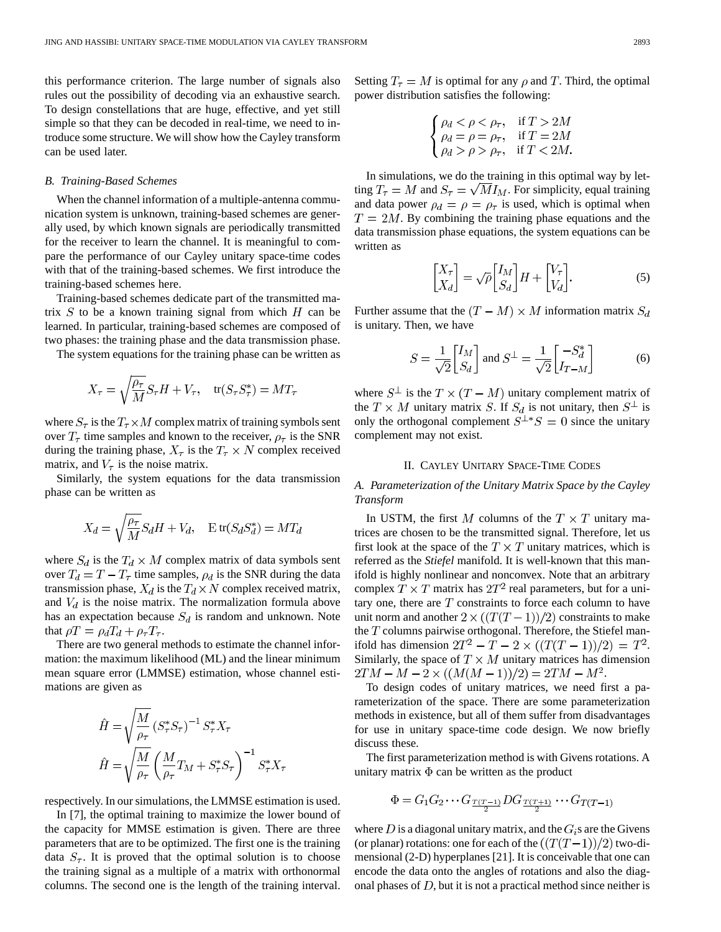this performance criterion. The large number of signals also rules out the possibility of decoding via an exhaustive search. To design constellations that are huge, effective, and yet still simple so that they can be decoded in real-time, we need to introduce some structure. We will show how the Cayley transform can be used later.

## *B. Training-Based Schemes*

When the channel information of a multiple-antenna communication system is unknown, training-based schemes are generally used, by which known signals are periodically transmitted for the receiver to learn the channel. It is meaningful to compare the performance of our Cayley unitary space-time codes with that of the training-based schemes. We first introduce the training-based schemes here.

Training-based schemes dedicate part of the transmitted matrix  $S$  to be a known training signal from which  $H$  can be learned. In particular, training-based schemes are composed of two phases: the training phase and the data transmission phase.

The system equations for the training phase can be written as

$$
X_{\tau} = \sqrt{\frac{\rho_{\tau}}{M}} S_{\tau} H + V_{\tau}, \quad \text{tr}(S_{\tau} S_{\tau}^{*}) = M T_{\tau}
$$

where  $S_{\tau}$  is the  $T_{\tau} \times M$  complex matrix of training symbols sent over  $T_{\tau}$  time samples and known to the receiver,  $\rho_{\tau}$  is the SNR during the training phase,  $X_{\tau}$  is the  $T_{\tau} \times N$  complex received matrix, and  $V_\tau$  is the noise matrix.

Similarly, the system equations for the data transmission phase can be written as

$$
X_d = \sqrt{\frac{\rho_\tau}{M}} S_d H + V_d, \quad \mathbf{E} \operatorname{tr}(S_d S_d^*) = M T_d
$$

where  $S_d$  is the  $T_d \times M$  complex matrix of data symbols sent over  $T_d = T - T_\tau$  time samples,  $\rho_d$  is the SNR during the data transmission phase,  $X_d$  is the  $T_d \times N$  complex received matrix, and  $V_d$  is the noise matrix. The normalization formula above has an expectation because  $S_d$  is random and unknown. Note that  $\rho T = \rho_d T_d + \rho_\tau T_\tau$ .

There are two general methods to estimate the channel information: the maximum likelihood (ML) and the linear minimum mean square error (LMMSE) estimation, whose channel estimations are given as

$$
\hat{H} = \sqrt{\frac{M}{\rho_{\tau}}} \left( S_{\tau}^* S_{\tau} \right)^{-1} S_{\tau}^* X_{\tau}
$$
\n
$$
\hat{H} = \sqrt{\frac{M}{\rho_{\tau}}} \left( \frac{M}{\rho_{\tau}} T_M + S_{\tau}^* S_{\tau} \right)^{-1} S_{\tau}^* X_{\tau}
$$

respectively. In our simulations, the LMMSE estimation is used.

In [7], the optimal training to maximize the lower bound of the capacity for MMSE estimation is given. There are three parameters that are to be optimized. The first one is the training data  $S_{\tau}$ . It is proved that the optimal solution is to choose the training signal as a multiple of a matrix with orthonormal columns. The second one is the length of the training interval. Setting  $T_{\tau} = M$  is optimal for any  $\rho$  and T. Third, the optimal power distribution satisfies the following:

$$
\begin{cases} \rho_d < \rho < \rho_{\tau}, & \text{if } T > 2M \\ \rho_d = \rho = \rho_{\tau}, & \text{if } T = 2M \\ \rho_d > \rho > \rho_{\tau}, & \text{if } T < 2M. \end{cases}
$$

In simulations, we do the training in this optimal way by letting  $T_{\tau} = M$  and  $S_{\tau} = \sqrt{M} I_M$ . For simplicity, equal training and data power  $\rho_d = \rho = \rho_{\tau}$  is used, which is optimal when  $T = 2M$ . By combining the training phase equations and the data transmission phase equations, the system equations can be written as

$$
\begin{bmatrix} X_{\tau} \\ X_d \end{bmatrix} = \sqrt{\rho} \begin{bmatrix} I_M \\ S_d \end{bmatrix} H + \begin{bmatrix} V_{\tau} \\ V_d \end{bmatrix}.
$$
 (5)

Further assume that the  $(T - M) \times M$  information matrix  $S_d$ is unitary. Then, we have

$$
S = \frac{1}{\sqrt{2}} \begin{bmatrix} I_M \\ S_d \end{bmatrix} \text{ and } S^\perp = \frac{1}{\sqrt{2}} \begin{bmatrix} -S_d^* \\ I_{T-M} \end{bmatrix} \tag{6}
$$

where  $S^{\perp}$  is the  $T \times (T - M)$  unitary complement matrix of the  $T \times M$  unitary matrix S. If  $S_d$  is not unitary, then  $S^{\perp}$  is only the orthogonal complement  $S^{\perp *}S = 0$  since the unitary complement may not exist.

#### II. CAYLEY UNITARY SPACE-TIME CODES

*A. Parameterization of the Unitary Matrix Space by the Cayley Transform*

In USTM, the first M columns of the  $T \times T$  unitary matrices are chosen to be the transmitted signal. Therefore, let us first look at the space of the  $T \times T$  unitary matrices, which is referred as the *Stiefel* manifold. It is well-known that this manifold is highly nonlinear and nonconvex. Note that an arbitrary complex  $T \times T$  matrix has  $2T^2$  real parameters, but for a unitary one, there are  $T$  constraints to force each column to have unit norm and another  $2 \times ((T(T-1))/2)$  constraints to make the  $T$  columns pairwise orthogonal. Therefore, the Stiefel manifold has dimension  $2T^2 - T - 2 \times ((T(T - 1))/2) = T^2$ . Similarly, the space of  $T \times M$  unitary matrices has dimension  $2TM - M - 2 \times ((M(M-1))/2) = 2TM - M^2$ .

To design codes of unitary matrices, we need first a parameterization of the space. There are some parameterization methods in existence, but all of them suffer from disadvantages for use in unitary space-time code design. We now briefly discuss these.

The first parameterization method is with Givens rotations. A unitary matrix  $\Phi$  can be written as the product

$$
\Phi = G_1 G_2 \cdots G_{\frac{T(T-1)}{2}} DG_{\frac{T(T+1)}{2}} \cdots G_{T(T-1)}
$$

where D is a diagonal unitary matrix, and the  $G_i$ s are the Givens (or planar) rotations: one for each of the  $((T(T-1))/2)$  two-dimensional (2-D) hyperplanes [21]. It is conceivable that one can encode the data onto the angles of rotations and also the diagonal phases of  $D$ , but it is not a practical method since neither is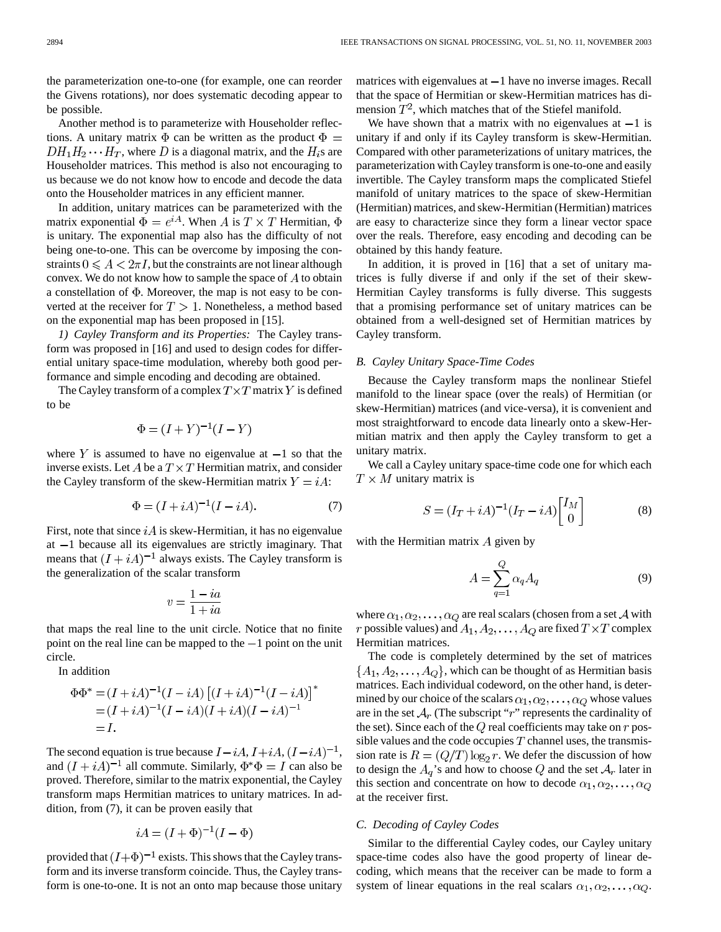the parameterization one-to-one (for example, one can reorder the Givens rotations), nor does systematic decoding appear to be possible.

Another method is to parameterize with Householder reflections. A unitary matrix  $\Phi$  can be written as the product  $\Phi =$  $DH_1H_2 \cdots H_T$ , where D is a diagonal matrix, and the  $H_i$ s are Householder matrices. This method is also not encouraging to us because we do not know how to encode and decode the data onto the Householder matrices in any efficient manner.

In addition, unitary matrices can be parameterized with the matrix exponential  $\Phi = e^{iA}$ . When A is  $T \times T$  Hermitian,  $\Phi$ is unitary. The exponential map also has the difficulty of not being one-to-one. This can be overcome by imposing the constraints  $0 \leq A < 2\pi I$ , but the constraints are not linear although convex. We do not know how to sample the space of  $A$  to obtain a constellation of  $\Phi$ . Moreover, the map is not easy to be converted at the receiver for  $T > 1$ . Nonetheless, a method based on the exponential map has been proposed in [15].

*1) Cayley Transform and its Properties:* The Cayley transform was proposed in [16] and used to design codes for differential unitary space-time modulation, whereby both good performance and simple encoding and decoding are obtained.

The Cayley transform of a complex  $T \times T$  matrix Y is defined to be

$$
\Phi = (I + Y)^{-1}(I - Y)
$$

where Y is assumed to have no eigenvalue at  $-1$  so that the inverse exists. Let A be a  $T \times T$  Hermitian matrix, and consider the Cayley transform of the skew-Hermitian matrix  $Y = iA$ :

$$
\Phi = (I + iA)^{-1}(I - iA). \tag{7}
$$

First, note that since  $iA$  is skew-Hermitian, it has no eigenvalue at  $-1$  because all its eigenvalues are strictly imaginary. That means that  $(I + iA)^{-1}$  always exists. The Cayley transform is the generalization of the scalar transform

$$
v=\frac{1-ia}{1+ia}
$$

that maps the real line to the unit circle. Notice that no finite point on the real line can be mapped to the  $-1$  point on the unit circle.

In addition

$$
\Phi \Phi^* = (I + iA)^{-1} (I - iA) [(I + iA)^{-1} (I - iA)]^*
$$
  
=  $(I + iA)^{-1} (I - iA)(I + iA)(I - iA)^{-1}$   
= I.

The second equation is true because  $I - iA$ ,  $I + iA$ ,  $(I - iA)^{-1}$ , and  $(I + iA)^{-1}$  all commute. Similarly,  $\Phi^* \Phi = I$  can also be proved. Therefore, similar to the matrix exponential, the Cayley transform maps Hermitian matrices to unitary matrices. In addition, from (7), it can be proven easily that

$$
iA = (I + \Phi)^{-1}(I - \Phi)
$$

provided that  $(I+\Phi)^{-1}$  exists. This shows that the Cayley transform and its inverse transform coincide. Thus, the Cayley transform is one-to-one. It is not an onto map because those unitary matrices with eigenvalues at  $-1$  have no inverse images. Recall that the space of Hermitian or skew-Hermitian matrices has dimension  $T^2$ , which matches that of the Stiefel manifold.

We have shown that a matrix with no eigenvalues at  $-1$  is unitary if and only if its Cayley transform is skew-Hermitian. Compared with other parameterizations of unitary matrices, the parameterization with Cayley transform is one-to-one and easily invertible. The Cayley transform maps the complicated Stiefel manifold of unitary matrices to the space of skew-Hermitian (Hermitian) matrices, and skew-Hermitian (Hermitian) matrices are easy to characterize since they form a linear vector space over the reals. Therefore, easy encoding and decoding can be obtained by this handy feature.

In addition, it is proved in [16] that a set of unitary matrices is fully diverse if and only if the set of their skew-Hermitian Cayley transforms is fully diverse. This suggests that a promising performance set of unitary matrices can be obtained from a well-designed set of Hermitian matrices by Cayley transform.

#### *B. Cayley Unitary Space-Time Codes*

Because the Cayley transform maps the nonlinear Stiefel manifold to the linear space (over the reals) of Hermitian (or skew-Hermitian) matrices (and vice-versa), it is convenient and most straightforward to encode data linearly onto a skew-Hermitian matrix and then apply the Cayley transform to get a unitary matrix.

We call a Cayley unitary space-time code one for which each  $T \times M$  unitary matrix is

$$
S = (I_T + iA)^{-1}(I_T - iA)\begin{bmatrix} I_M \\ 0 \end{bmatrix}
$$
 (8)

with the Hermitian matrix  $A$  given by

$$
A = \sum_{q=1}^{Q} \alpha_q A_q \tag{9}
$$

where  $\alpha_1, \alpha_2, \dots, \alpha_Q$  are real scalars (chosen from a set A with r possible values) and  $A_1, A_2, \ldots, A_Q$  are fixed  $T \times T$  complex Hermitian matrices.

The code is completely determined by the set of matrices  $\{A_1, A_2, \ldots, A_Q\}$ , which can be thought of as Hermitian basis matrices. Each individual codeword, on the other hand, is determined by our choice of the scalars  $\alpha_1, \alpha_2, \dots, \alpha_Q$  whose values are in the set  $A_r$  (The subscript "r" represents the cardinality of the set). Since each of the  $Q$  real coefficients may take on  $r$  possible values and the code occupies  $T$  channel uses, the transmission rate is  $R = (Q/T) \log_2 r$ . We defer the discussion of how to design the  $A_q$ 's and how to choose Q and the set  $A_r$  later in this section and concentrate on how to decode  $\alpha_1, \alpha_2, \ldots, \alpha_Q$ at the receiver first.

## *C. Decoding of Cayley Codes*

Similar to the differential Cayley codes, our Cayley unitary space-time codes also have the good property of linear decoding, which means that the receiver can be made to form a system of linear equations in the real scalars  $\alpha_1, \alpha_2, \ldots, \alpha_Q$ .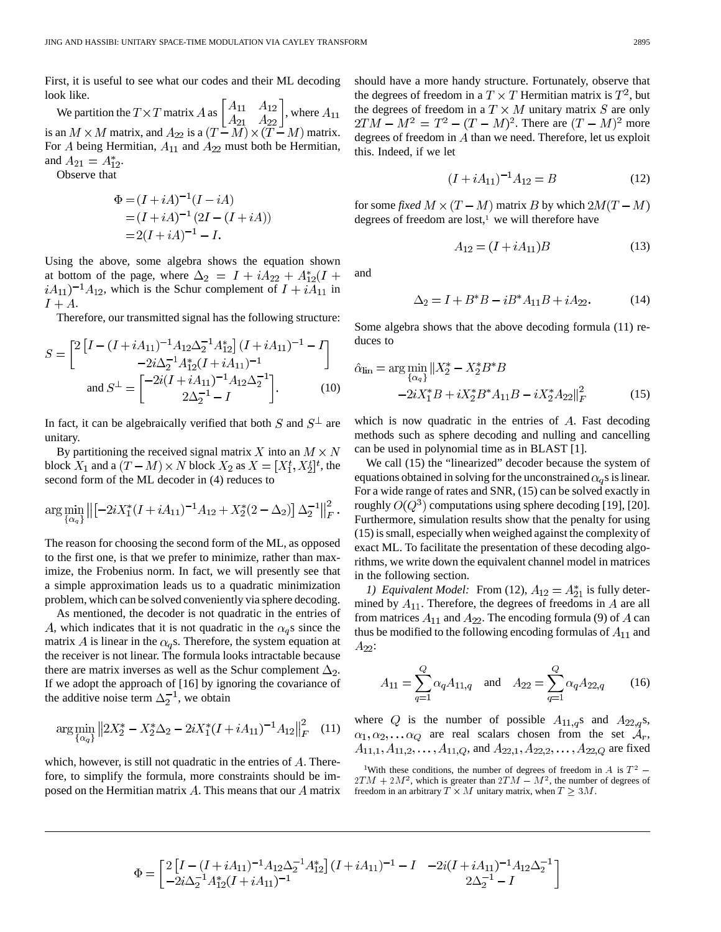First, it is useful to see what our codes and their ML decoding look like.

We partition the  $T \times T$  matrix A as  $\begin{bmatrix} 1 & 1 & 1 & 1 \\ 1 & 1 & 1 & 1 \\ 1 & 1 & 1 & 1 \end{bmatrix}$ , where is an  $M \times M$  matrix, and  $A_{22}$  is a  $(T-M) \times (T-M)$  matrix. For A being Hermitian,  $A_{11}$  and  $A_{22}$  must both be Hermitian, and  $A_{21} = A_{12}^*$ .

Observe that

$$
\Phi = (I + iA)^{-1}(I - iA)
$$
  
=  $(I + iA)^{-1}(2I - (I + iA))$   
=  $2(I + iA)^{-1} - I$ .

Using the above, some algebra shows the equation shown at bottom of the page, where  $\Delta_2 = I + iA_{22} + A_{12}^*(I +$  $iA_{11}$ )<sup>-1</sup> $A_{12}$ , which is the Schur complement of  $I + iA_{11}$  in  $I + A$ .

Therefore, our transmitted signal has the following structure:

$$
S = \begin{bmatrix} 2\left[I - (I + iA_{11})^{-1}A_{12}\Delta_2^{-1}A_{12}^*\right](I + iA_{11})^{-1} - I \\ -2i\Delta_2^{-1}A_{12}^*(I + iA_{11})^{-1} \end{bmatrix}
$$
  
and 
$$
S^{\perp} = \begin{bmatrix} -2i(I + iA_{11})^{-1}A_{12}\Delta_2^{-1} \\ 2\Delta_2^{-1} - I \end{bmatrix}.
$$
 (10)

In fact, it can be algebraically verified that both S and  $S^{\perp}$  are unitary.

By partitioning the received signal matrix X into an  $M \times N$ block  $X_1$  and a  $(T - M) \times N$  block  $X_2$  as  $X = [X_1^t, X_2^t]^t$ , the second form of the ML decoder in (4) reduces to

$$
\arg\min_{\{\alpha_q\}} \left\| \left[ -2iX_1^*(I + iA_{11})^{-1}A_{12} + X_2^*(2 - \Delta_2) \right] \Delta_2^{-1} \right\|_F^2.
$$

The reason for choosing the second form of the ML, as opposed to the first one, is that we prefer to minimize, rather than maximize, the Frobenius norm. In fact, we will presently see that a simple approximation leads us to a quadratic minimization problem, which can be solved conveniently via sphere decoding.

As mentioned, the decoder is not quadratic in the entries of A, which indicates that it is not quadratic in the  $\alpha_{q}$ s since the matrix A is linear in the  $\alpha_q$ s. Therefore, the system equation at the receiver is not linear. The formula looks intractable because there are matrix inverses as well as the Schur complement  $\Delta_2$ . If we adopt the approach of [16] by ignoring the covariance of the additive noise term  $\Delta_2^{-1}$ , we obtain

$$
\arg\min_{\{\alpha_q\}}\left\|2X_2^* - X_2^*\Delta_2 - 2iX_1^*(I + iA_{11})^{-1}A_{12}\right\|_F^2 \quad (11)
$$

which, however, is still not quadratic in the entries of  $A$ . Therefore, to simplify the formula, more constraints should be imposed on the Hermitian matrix  $A$ . This means that our  $A$  matrix should have a more handy structure. Fortunately, observe that the degrees of freedom in a  $T \times T$  Hermitian matrix is  $T^2$ , but the degrees of freedom in a  $T \times M$  unitary matrix  $S$  are only  $2TM - M^2 = T^2 - (T - M)^2$ . There are  $(T - M)^2$  more degrees of freedom in  $A$  than we need. Therefore, let us exploit this. Indeed, if we let

$$
(I + iA_{11})^{-1}A_{12} = B \tag{12}
$$

for some *fixed*  $M \times (T - M)$  matrix B by which  $2M(T - M)$ degrees of freedom are lost, $1$  we will therefore have

 $A_{12} = (I + iA_{11})B$ 

and

$$
\Delta_2 = I + B^*B - iB^*A_{11}B + iA_{22}.
$$
 (14)

Some algebra shows that the above decoding formula (11) reduces to

$$
\hat{\alpha}_{\text{lin}} = \arg\min_{\{\alpha_q\}} ||X_2^* - X_2^* B^* B
$$
  
-2iX\_1^\* B + iX\_2^\* B^\* A\_{11} B - iX\_2^\* A\_{22} ||\_F^2 (15)

which is now quadratic in the entries of  $A$ . Fast decoding methods such as sphere decoding and nulling and cancelling can be used in polynomial time as in BLAST [1].

We call  $(15)$  the "linearized" decoder because the system of equations obtained in solving for the unconstrained  $\alpha_q$ s is linear. For a wide range of rates and SNR, (15) can be solved exactly in roughly  $O(Q^3)$  computations using sphere decoding [19], [20]. Furthermore, simulation results show that the penalty for using (15) is small, especially when weighed against the complexity of exact ML. To facilitate the presentation of these decoding algorithms, we write down the equivalent channel model in matrices in the following section.

*1) Equivalent Model:* From (12),  $A_{12} = A_{21}^*$  is fully determined by  $A_{11}$ . Therefore, the degrees of freedoms in A are all from matrices  $A_{11}$  and  $A_{22}$ . The encoding formula (9) of A can thus be modified to the following encoding formulas of  $A_{11}$  and  $A_{22}$ :

$$
A_{11} = \sum_{q=1}^{Q} \alpha_q A_{11,q} \quad \text{and} \quad A_{22} = \sum_{q=1}^{Q} \alpha_q A_{22,q} \tag{16}
$$

where Q is the number of possible  $A_{11,q}$ s and  $A_{22,q}$ s,  $\alpha_1, \alpha_2, \ldots \alpha_Q$  are real scalars chosen from the set  $\mathcal{A}_r$ , , and  $A_{22,1}, A_{22,2}, \ldots, A_{22,Q}$  are fixed  $11, 10, 41, 11, 2, \ldots, A_{11}, Q$ , and  $A_{22,1}, A_{22,2}, \ldots, A_{22,Q}$  are fixed<br><sup>1</sup>With these conditions, the number of degrees of freedom in A is  $T^2$  –

$$
\Phi = \begin{bmatrix} 2\left[I - (I + iA_{11})^{-1}A_{12}\Delta_2^{-1}A_{12}^*\right](I + iA_{11})^{-1} - I & -2i(I + iA_{11})^{-1}A_{12}\Delta_2^{-1} \\ -2i\Delta_2^{-1}A_{12}^*(I + iA_{11})^{-1} & 2\Delta_2^{-1} - I \end{bmatrix}
$$

(13)

 $A_{11,1}, A_{11,2}, \ldots, A_{11,Q}$ , and  $A_{22,1}, A_{22,2}, \ldots, A_{22,Q}$  are fixed<br><sup>1</sup>With these conditions, the number of degrees of freedom in A is  $T^2 - 2TM + 2M^2$ , which is greater than  $2TM - M^2$ , the number of degrees of freedom in an arbitrary  $\widetilde{T} \times M$  unitary matrix, when  $T \geq 3M$ .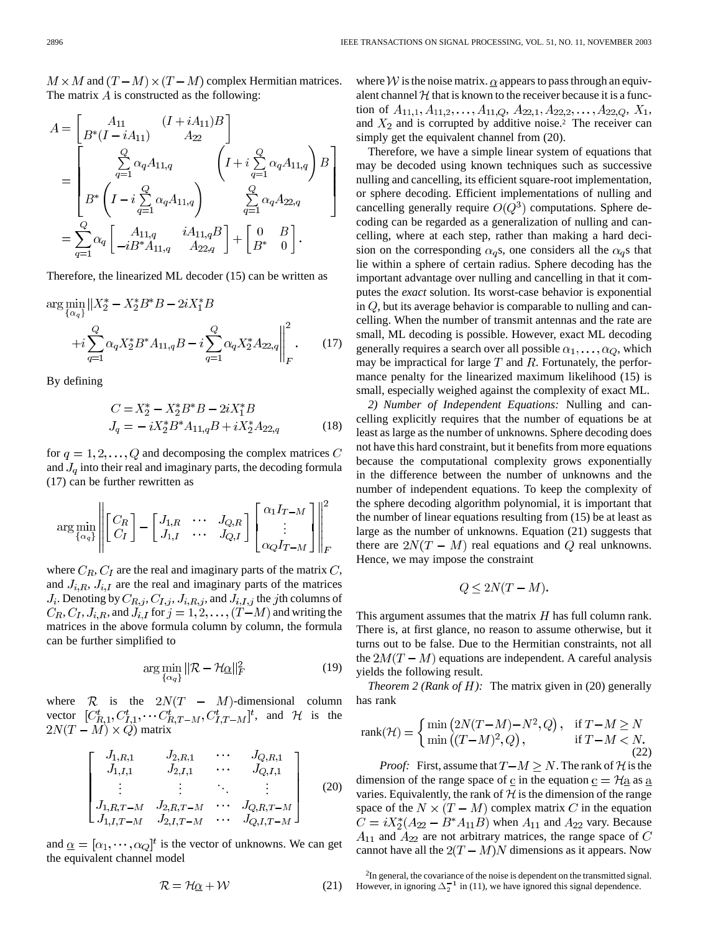$M \times M$  and  $(T - M) \times (T - M)$  complex Hermitian matrices. The matrix  $\vec{A}$  is constructed as the following:

$$
A = \begin{bmatrix} A_{11} & (I + iA_{11})B \\ B^*(I - iA_{11}) & A_{22} \end{bmatrix}
$$
  
= 
$$
\begin{bmatrix} Q & \alpha_q A_{11,q} \\ \sum_{q=1}^C \alpha_q A_{11,q} & I + i \sum_{q=1}^Q \alpha_q A_{11,q} \end{bmatrix} B
$$
  
= 
$$
\begin{bmatrix} Q & \alpha_q A_{22,q} \\ B^* & I - i \sum_{q=1}^Q \alpha_q A_{11,q} \end{bmatrix} \sum_{q=1}^Q \alpha_q A_{22,q}
$$
  
= 
$$
\sum_{q=1}^Q \alpha_q \begin{bmatrix} A_{11,q} & iA_{11,q}B \\ -iB^*A_{11,q} & A_{22,q} \end{bmatrix} + \begin{bmatrix} 0 & B \\ B^* & 0 \end{bmatrix}.
$$

Therefore, the linearized ML decoder (15) can be written as

$$
\arg\min_{\{\alpha_q\}} \|X_2^* - X_2^* B^* B - 2iX_1^* B + i \sum_{q=1}^Q \alpha_q X_2^* B^* A_{11,q} B - i \sum_{q=1}^Q \alpha_q X_2^* A_{22,q} \Big\|_F^2.
$$
 (17)

By defining

$$
C = X_2^* - X_2^* B^* B - 2iX_1^* B
$$
  
\n
$$
J_q = -iX_2^* B^* A_{11,q} B + iX_2^* A_{22,q}
$$
\n(18)

for  $q = 1, 2, \ldots, Q$  and decomposing the complex matrices C and  $J_q$  into their real and imaginary parts, the decoding formula (17) can be further rewritten as

$$
\arg\min_{\{\alpha_q\}} \left\| \begin{bmatrix} C_R \\ C_I \end{bmatrix} - \begin{bmatrix} J_{1,R} & \cdots & J_{Q,R} \\ J_{1,I} & \cdots & J_{Q,I} \end{bmatrix} \begin{bmatrix} \alpha_1 I_{T-M} \\ \vdots \\ \alpha_Q I_{T-M} \end{bmatrix} \right\|_F^2
$$

where  $C_R$ ,  $C_I$  are the real and imaginary parts of the matrix C, and  $J_{i,R}$ ,  $J_{i,I}$  are the real and imaginary parts of the matrices  $J_i$ . Denoting by  $C_{R,j}$ ,  $C_{I,j}$ ,  $J_{i,R,j}$ , and  $J_{i,I,j}$  the *j*th columns of  $C_R, C_I, J_{i,R}$ , and  $J_{i,I}$  for  $j = 1, 2, \ldots, (T-M)$  and writing the matrices in the above formula column by column, the formula can be further simplified to

$$
\arg\min_{\{\alpha_q\}} \|\mathcal{R} - \mathcal{H}\underline{\alpha}\|_F^2 \tag{19}
$$

where  $R$  is the  $2N(T - M)$ -dimensional column vector  $[C_{R_1}^t, C_{I_1}^t, \cdots C_{R_T-M}^t, C_{I_T-M}^t]^t$ , and H is the matrix

$$
\begin{bmatrix} J_{1,R,1} & J_{2,R,1} & \cdots & J_{Q,R,1} \\ J_{1,I,1} & J_{2,I,1} & \cdots & J_{Q,I,1} \\ \vdots & \vdots & \ddots & \vdots \\ J_{1,R,T-M} & J_{2,R,T-M} & \cdots & J_{Q,R,T-M} \\ J_{1,I,T-M} & J_{2,I,T-M} & \cdots & J_{Q,I,T-M} \end{bmatrix}
$$
 (20)

and  $\underline{\alpha} = [\alpha_1, \cdots, \alpha_Q]^t$  is the vector of unknowns. We can get the equivalent channel model

> $\mathcal{R} = \mathcal{H}\alpha + \mathcal{W}$ (21)

where W is the noise matrix.  $\alpha$  appears to pass through an equivalent channel  $H$  that is known to the receiver because it is a function of  $A_{11,1}, A_{11,2}, \ldots, A_{11,Q}, A_{22,1}, A_{22,2}, \ldots, A_{22,Q}, X_1,$ and  $X_2$  and is corrupted by additive noise.<sup>2</sup> The receiver can simply get the equivalent channel from (20).

Therefore, we have a simple linear system of equations that may be decoded using known techniques such as successive nulling and cancelling, its efficient square-root implementation, or sphere decoding. Efficient implementations of nulling and cancelling generally require  $O(Q^3)$  computations. Sphere decoding can be regarded as a generalization of nulling and cancelling, where at each step, rather than making a hard decision on the corresponding  $\alpha_{q}s$ , one considers all the  $\alpha_{q}s$  that lie within a sphere of certain radius. Sphere decoding has the important advantage over nulling and cancelling in that it computes the *exact* solution. Its worst-case behavior is exponential in  $Q$ , but its average behavior is comparable to nulling and cancelling. When the number of transmit antennas and the rate are small, ML decoding is possible. However, exact ML decoding generally requires a search over all possible  $\alpha_1, \ldots, \alpha_Q$ , which may be impractical for large  $T$  and  $R$ . Fortunately, the performance penalty for the linearized maximum likelihood (15) is small, especially weighed against the complexity of exact ML.

*2) Number of Independent Equations:* Nulling and cancelling explicitly requires that the number of equations be at least as large as the number of unknowns. Sphere decoding does not have this hard constraint, but it benefits from more equations because the computational complexity grows exponentially in the difference between the number of unknowns and the number of independent equations. To keep the complexity of the sphere decoding algorithm polynomial, it is important that the number of linear equations resulting from (15) be at least as large as the number of unknowns. Equation (21) suggests that there are  $2N(T - M)$  real equations and Q real unknowns. Hence, we may impose the constraint

$$
Q \le 2N(T - M).
$$

This argument assumes that the matrix  $H$  has full column rank. There is, at first glance, no reason to assume otherwise, but it turns out to be false. Due to the Hermitian constraints, not all the  $2M(T - M)$  equations are independent. A careful analysis yields the following result.

*Theorem 2 (Rank of*  $H$ *):* The matrix given in (20) generally has rank

$$
rank(\mathcal{H}) = \begin{cases} \min\left(2N(T-M) - N^2, Q\right), & \text{if } T - M \ge N\\ \min\left((T - M)^2, Q\right), & \text{if } T - M < N. \end{cases} \tag{22}
$$

*Proof:* First, assume that  $T-M \geq N$ . The rank of H is the dimension of the range space of c in the equation  $\epsilon = \mathcal{H}a$  as a varies. Equivalently, the rank of  $H$  is the dimension of the range space of the  $N \times (T - M)$  complex matrix C in the equation  $C = iX_2^*(A_{22} - B^*A_{11}B)$  when  $A_{11}$  and  $A_{22}$  vary. Because  $A_{11}$  and  $A_{22}$  are not arbitrary matrices, the range space of C cannot have all the  $2(T - M)N$  dimensions as it appears. Now

<sup>2</sup>In general, the covariance of the noise is dependent on the transmitted signal. However, in ignoring  $\Delta_2^{-1}$  in (11), we have ignored this signal dependence.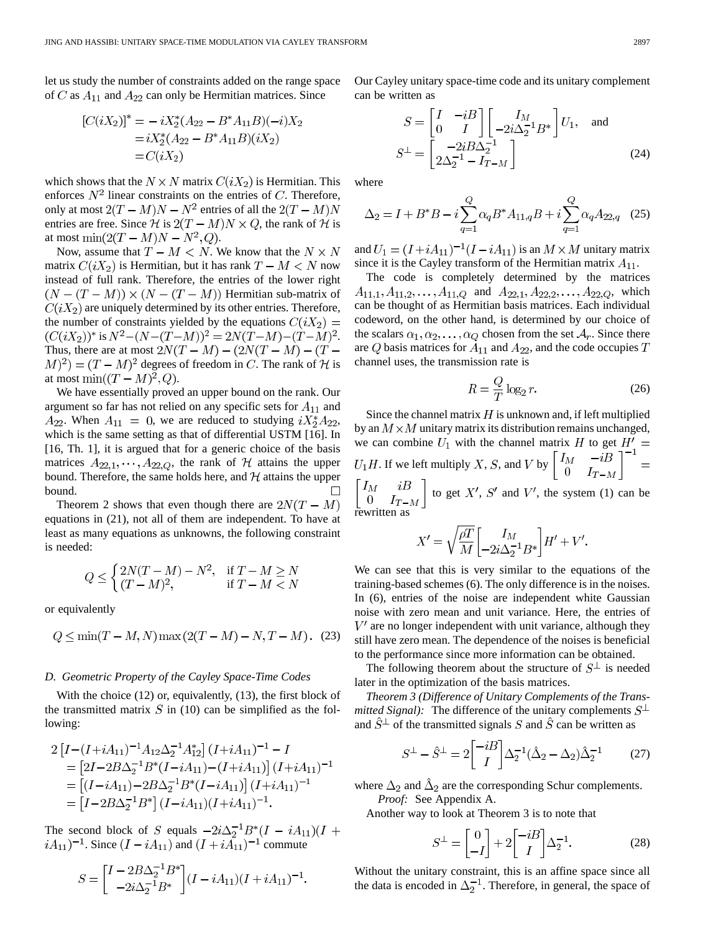let us study the number of constraints added on the range space of C as  $A_{11}$  and  $A_{22}$  can only be Hermitian matrices. Since

$$
[C(iX_2)]^* = -iX_2^*(A_{22} - B^*A_{11}B)(-i)X_2
$$
  
=  $iX_2^*(A_{22} - B^*A_{11}B)(iX_2)$   
=  $C(iX_2)$ 

which shows that the  $N \times N$  matrix  $C(iX_2)$  is Hermitian. This enforces  $N^2$  linear constraints on the entries of C. Therefore, only at most  $2(T - M)N - N^2$  entries of all the  $2(T - M)N$ entries are free. Since  $\mathcal{H}$  is  $2(T - M)N \times Q$ , the rank of  $\mathcal{H}$  is at most  $\min(2(T-M)N-N^2,Q)$ .

Now, assume that  $T - M < N$ . We know that the  $N \times N$ matrix  $C(iX_2)$  is Hermitian, but it has rank  $T - M < N$  now instead of full rank. Therefore, the entries of the lower right  $(N-(T-M)) \times (N-(T-M))$  Hermitian sub-matrix of  $C(iX_2)$  are uniquely determined by its other entries. Therefore, the number of constraints yielded by the equations  $C(iX_2)$  =  $(C(iX_2))^*$  is  $N^2 - (N - (T - M))^2 = 2N(T - M) - (T - M)^2$ . Thus, there are at most  $2N(T - M) - (2N(T - M) - (T (M)^2 = (T - M)^2$  degrees of freedom in C. The rank of H is at most  $\min((T-M)^2, Q)$ .

We have essentially proved an upper bound on the rank. Our argument so far has not relied on any specific sets for  $A_{11}$  and  $A_{22}$ . When  $A_{11} = 0$ , we are reduced to studying  $iX_2^*A_{22}$ , which is the same setting as that of differential USTM [16]. In [16, Th. 1], it is argued that for a generic choice of the basis matrices  $A_{22,1}, \dots, A_{22,Q}$ , the rank of  $H$  attains the upper bound. Therefore, the same holds here, and  $H$  attains the upper bound.  $\Box$ 

Theorem 2 shows that even though there are  $2N(T - M)$ equations in (21), not all of them are independent. To have at least as many equations as unknowns, the following constraint is needed:

$$
Q \le \begin{cases} 2N(T-M) - N^2, & \text{if } T - M \ge N \\ (T - M)^2, & \text{if } T - M < N \end{cases}
$$

or equivalently

$$
Q \le \min(T - M, N) \max(2(T - M) - N, T - M). \tag{23}
$$

#### *D. Geometric Property of the Cayley Space-Time Codes*

With the choice (12) or, equivalently, (13), the first block of the transmitted matrix  $S$  in (10) can be simplified as the following:

$$
2\left[I - (I + iA_{11})^{-1}A_{12}\Delta_2^{-1}A_{12}^*\right](I + iA_{11})^{-1} - I
$$
  
= 
$$
\left[2I - 2B\Delta_2^{-1}B^*(I - iA_{11}) - (I + iA_{11})\right](I + iA_{11})^{-1}
$$
  
= 
$$
\left[(I - iA_{11}) - 2B\Delta_2^{-1}B^*(I - iA_{11})\right](I + iA_{11})^{-1}
$$
  
= 
$$
\left[I - 2B\Delta_2^{-1}B^*\right](I - iA_{11})(I + iA_{11})^{-1}.
$$

The second block of  $S$  equals . Since  $(I - iA_{11})$  and  $(I + iA_{11})^{-1}$  commute

$$
S = \begin{bmatrix} I - 2B\Delta_2^{-1}B^* \\ -2i\Delta_2^{-1}B^* \end{bmatrix} (I - iA_{11})(I + iA_{11})^{-1}.
$$

Our Cayley unitary space-time code and its unitary complement can be written as

$$
S = \begin{bmatrix} I & -iB \\ 0 & I \end{bmatrix} \begin{bmatrix} I_M \\ -2i\Delta_2^{-1}B^* \end{bmatrix} U_1, \text{ and}
$$

$$
S^{\perp} = \begin{bmatrix} -2iB\Delta_2^{-1} \\ 2\Delta_2^{-1} - I_{T-M} \end{bmatrix}
$$
(24)

where

$$
\Delta_2 = I + B^* B - i \sum_{q=1}^{Q} \alpha_q B^* A_{11,q} B + i \sum_{q=1}^{Q} \alpha_q A_{22,q} \quad (25)
$$

and  $U_1 = (I + iA_{11})^{-1}(I - iA_{11})$  is an  $M \times M$  unitary matrix since it is the Cayley transform of the Hermitian matrix  $A_{11}$ .

The code is completely determined by the matrices  $A_{11,1}, A_{11,2}, \ldots, A_{11,Q}$  and  $A_{22,1}, A_{22,2}, \ldots, A_{22,Q}$ , which can be thought of as Hermitian basis matrices. Each individual codeword, on the other hand, is determined by our choice of the scalars  $\alpha_1, \alpha_2, \dots, \alpha_Q$  chosen from the set  $\mathcal{A}_r$ . Since there are  $Q$  basis matrices for  $A_{11}$  and  $A_{22}$ , and the code occupies  $T$ channel uses, the transmission rate is

$$
R = \frac{Q}{T} \log_2 r.
$$
 (26)

Since the channel matrix  $H$  is unknown and, if left multiplied by an  $M \times M$  unitary matrix its distribution remains unchanged, we can combine  $U_1$  with the channel matrix  $H$  to get . If we left multiply  $X$ ,  $S$ , and  $V$  by  $\begin{bmatrix} I_M & iB \\ 0 & I_{T-M} \end{bmatrix}$  to get X', S' and V', the system (1) can be rewritten as

$$
X' = \sqrt{\frac{\rho T}{M}} \begin{bmatrix} I_M \\ -2i\Delta_2^{-1} B^* \end{bmatrix} H' + V'.
$$

We can see that this is very similar to the equations of the training-based schemes (6). The only difference is in the noises. In (6), entries of the noise are independent white Gaussian noise with zero mean and unit variance. Here, the entries of  $V'$  are no longer independent with unit variance, although they still have zero mean. The dependence of the noises is beneficial to the performance since more information can be obtained.

The following theorem about the structure of  $S^{\perp}$  is needed later in the optimization of the basis matrices.

*Theorem 3 (Difference of Unitary Complements of the Transmitted Signal)*: The difference of the unitary complements  $S^{\perp}$ and  $\hat{S}^{\perp}$  of the transmitted signals S and  $\hat{S}$  can be written as

$$
S^{\perp} - \hat{S}^{\perp} = 2 \begin{bmatrix} -iB \\ I \end{bmatrix} \Delta_2^{-1} (\hat{\Delta}_2 - \Delta_2) \hat{\Delta}_2^{-1} \tag{27}
$$

where  $\Delta_2$  and  $\Delta_2$  are the corresponding Schur complements. *Proof:* See Appendix A.

Another way to look at Theorem 3 is to note that

$$
S^{\perp} = \begin{bmatrix} 0 \\ -I \end{bmatrix} + 2 \begin{bmatrix} -iB \\ I \end{bmatrix} \Delta_2^{-1}.
$$
 (28)

Without the unitary constraint, this is an affine space since all the data is encoded in  $\Delta_2^{-1}$ . Therefore, in general, the space of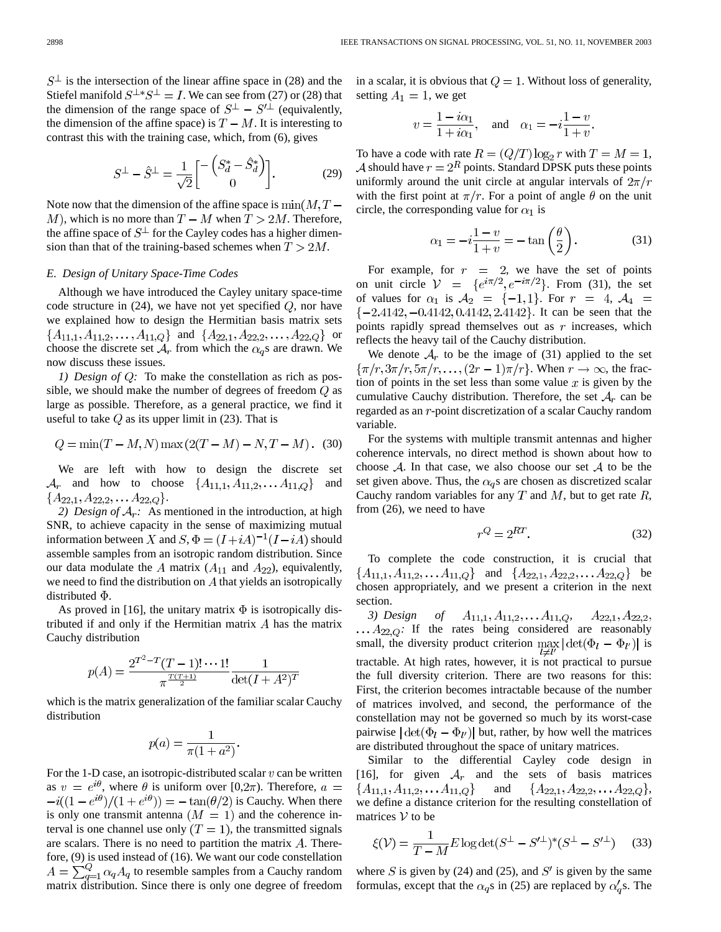$S^{\perp}$  is the intersection of the linear affine space in (28) and the Stiefel manifold  $S^{\perp *}S^{\perp} = I$ . We can see from (27) or (28) that the dimension of the range space of  $S^{\perp} - S'^{\perp}$  (equivalently, the dimension of the affine space) is  $T - M$ . It is interesting to contrast this with the training case, which, from (6), gives

$$
S^{\perp} - \hat{S}^{\perp} = \frac{1}{\sqrt{2}} \begin{bmatrix} -\left( S_d^* - \hat{S}_d^* \right) \\ 0 \end{bmatrix} . \tag{29}
$$

Note now that the dimension of the affine space is  $\min(M, T -$ M), which is no more than  $T - M$  when  $T > 2M$ . Therefore, the affine space of  $S^{\perp}$  for the Cayley codes has a higher dimension than that of the training-based schemes when  $T > 2M$ .

# *E. Design of Unitary Space-Time Codes*

Although we have introduced the Cayley unitary space-time code structure in  $(24)$ , we have not yet specified  $Q$ , nor have we explained how to design the Hermitian basis matrix sets  ${A_{11,1}, A_{11,2}, \ldots, A_{11,Q}}$  and  ${A_{22,1}, A_{22,2}, \ldots, A_{22,Q}}$  or choose the discrete set  $A_r$  from which the  $\alpha_q$ s are drawn. We now discuss these issues.

*1) Design of Q:* To make the constellation as rich as possible, we should make the number of degrees of freedom  $Q$  as large as possible. Therefore, as a general practice, we find it useful to take  $Q$  as its upper limit in (23). That is

$$
Q = \min(T - M, N) \max(2(T - M) - N, T - M). (30)
$$

We are left with how to design the discrete set  $A_r$  and how to choose  $\{A_{11,1}, A_{11,2}, \ldots A_{11,Q}\}$  and  ${A_{22,1}, A_{22,2}, \ldots A_{22,Q}}.$ 

2) Design of  $A_r$ : As mentioned in the introduction, at high SNR, to achieve capacity in the sense of maximizing mutual information between X and  $S, \Phi = (I + iA)^{-1}(I - iA)$  should assemble samples from an isotropic random distribution. Since our data modulate the A matrix  $(A_{11}$  and  $A_{22}$ ), equivalently, we need to find the distribution on  $A$  that yields an isotropically distributed  $\Phi$ .

As proved in [16], the unitary matrix  $\Phi$  is isotropically distributed if and only if the Hermitian matrix  $\Lambda$  has the matrix Cauchy distribution

$$
p(A) = \frac{2^{T^2 - T} (T - 1)! \cdots 1!}{\pi^{\frac{T(T+1)}{2}}} \frac{1}{\det(I + A^2)^T}
$$

which is the matrix generalization of the familiar scalar Cauchy distribution

$$
p(a) = \frac{1}{\pi(1+a^2)}.
$$

For the 1-D case, an isotropic-distributed scalar  $v$  can be written as  $v = e^{i\theta}$ , where  $\theta$  is uniform over [0,2 $\pi$ ). Therefore,  $a =$  $-i((1-e^{i\theta})/(1+e^{i\theta})) = -\tan(\theta/2)$  is Cauchy. When there is only one transmit antenna  $(M = 1)$  and the coherence interval is one channel use only  $(T = 1)$ , the transmitted signals are scalars. There is no need to partition the matrix  $A$ . Therefore,  $(9)$  is used instead of  $(16)$ . We want our code constellation  $A=\sum_{q=1}^{Q} \alpha_q A_q$  to resemble samples from a Cauchy random matrix distribution. Since there is only one degree of freedom in a scalar, it is obvious that  $Q = 1$ . Without loss of generality, setting  $A_1 = 1$ , we get

$$
v = \frac{1 - i\alpha_1}{1 + i\alpha_1}, \quad \text{and} \quad \alpha_1 = -i\frac{1 - v}{1 + v}.
$$

To have a code with rate  $R = (Q/T) \log_2 r$  with  $T = M = 1$ , A should have  $r = 2^R$  points. Standard DPSK puts these points uniformly around the unit circle at angular intervals of  $2\pi/r$ with the first point at  $\pi/r$ . For a point of angle  $\theta$  on the unit circle, the corresponding value for  $\alpha_1$  is

$$
\alpha_1 = -i\frac{1-v}{1+v} = -\tan\left(\frac{\theta}{2}\right). \tag{31}
$$

For example, for  $r = 2$ , we have the set of points on unit circle  $V = \{e^{i\pi/2}, e^{-i\pi/2}\}\$ . From (31), the set of values for  $\alpha_1$  is  $\mathcal{A}_2 = \{-1,1\}$ . For  $r = 4$ ,  $\mathcal{A}_4 =$  $\{-2.4142, -0.4142, 0.4142, 2.4142\}$ . It can be seen that the points rapidly spread themselves out as  $r$  increases, which reflects the heavy tail of the Cauchy distribution.

We denote  $A_r$  to be the image of (31) applied to the set  $\{\pi/r, 3\pi/r, 5\pi/r, \ldots, (2r-1)\pi/r\}$ . When  $r \to \infty$ , the fraction of points in the set less than some value  $x$  is given by the cumulative Cauchy distribution. Therefore, the set  $A_r$  can be regarded as an  $r$ -point discretization of a scalar Cauchy random variable.

For the systems with multiple transmit antennas and higher coherence intervals, no direct method is shown about how to choose  $A$ . In that case, we also choose our set  $A$  to be the set given above. Thus, the  $\alpha_q$ s are chosen as discretized scalar Cauchy random variables for any  $T$  and  $M$ , but to get rate  $R$ , from (26), we need to have

$$
r^Q = 2^{RT}.\tag{32}
$$

To complete the code construction, it is crucial that  ${A_{11,1}, A_{11,2}, \ldots A_{11,Q}}$  and  ${A_{22,1}, A_{22,2}, \ldots A_{22,Q}}$  be chosen appropriately, and we present a criterion in the next section.

*3) Design of*  $A_{11,1}, A_{11,2}, \ldots, A_{11,Q}$ ,  $A_{22,1}, A_{22,2}$ ,  $\ldots$   $A_{22,Q}$ : If the rates being considered are reasonably small, the diversity product criterion  $\max_{l \neq l'} |\det(\Phi_l - \Phi_{l'})|$  is tractable. At high rates, however, it is not practical to pursue the full diversity criterion. There are two reasons for this: First, the criterion becomes intractable because of the number of matrices involved, and second, the performance of the constellation may not be governed so much by its worst-case pairwise  $|\det(\Phi_l - \Phi_{l'})|$  but, rather, by how well the matrices are distributed throughout the space of unitary matrices.

Similar to the differential Cayley code design in [16], for given  $A_r$  and the sets of basis matrices  ${A_{11,1}, A_{11,2}, \ldots A_{11,Q}}$ and  ${A_{22,1}, A_{22,2}, \ldots A_{22,Q}},$ we define a distance criterion for the resulting constellation of matrices  $V$  to be

$$
\xi(\mathcal{V}) = \frac{1}{T - M} E \log \det(S^{\perp} - S'^{\perp})^* (S^{\perp} - S'^{\perp}) \tag{33}
$$

where S is given by (24) and (25), and  $S'$  is given by the same formulas, except that the  $\alpha_q$ s in (25) are replaced by  $\alpha'_q$ s. The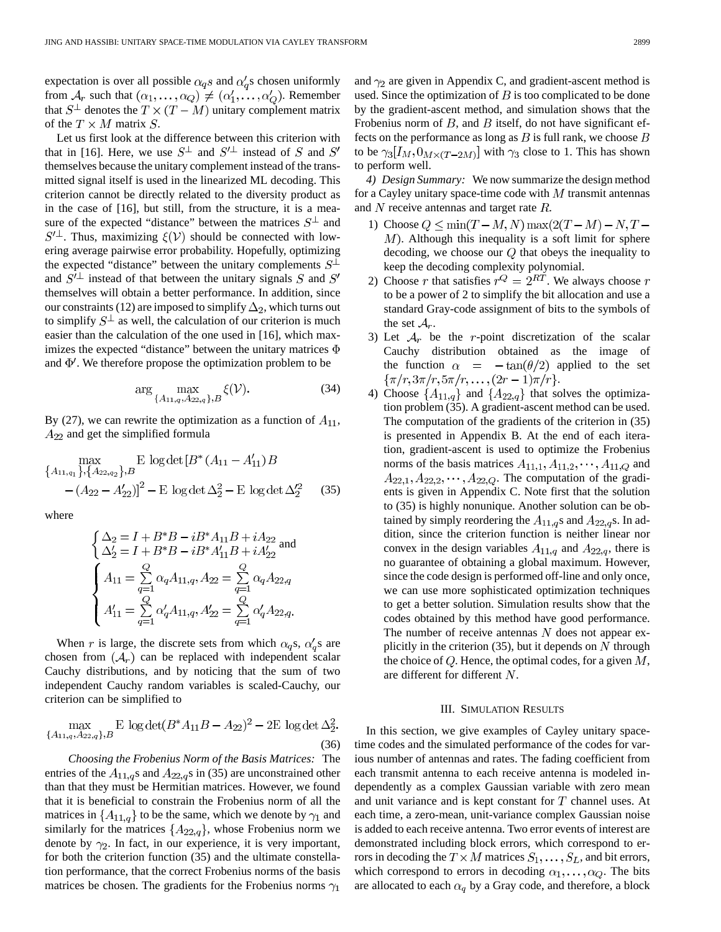expectation is over all possible  $\alpha_q s$  and  $\alpha'_q s$  chosen uniformly from  $A_r$  such that  $(\alpha_1, \dots, \alpha_Q) \neq (\alpha'_1, \dots, \alpha'_Q)$ . Remember that  $S^{\perp}$  denotes the  $T \times (T - M)$  unitary complement matrix of the  $T \times M$  matrix  $S$ .

Let us first look at the difference between this criterion with that in [16]. Here, we use  $S^{\perp}$  and  $S'^{\perp}$  instead of S and S' themselves because the unitary complement instead of the transmitted signal itself is used in the linearized ML decoding. This criterion cannot be directly related to the diversity product as in the case of [16], but still, from the structure, it is a measure of the expected "distance" between the matrices  $S^{\perp}$  and  $S^{\prime \perp}$ . Thus, maximizing  $\xi(\mathcal{V})$  should be connected with lowering average pairwise error probability. Hopefully, optimizing the expected "distance" between the unitary complements  $S^{\perp}$ and  $S'^{\perp}$  instead of that between the unitary signals S and S' themselves will obtain a better performance. In addition, since our constraints (12) are imposed to simplify  $\Delta_2$ , which turns out to simplify  $S^{\perp}$  as well, the calculation of our criterion is much easier than the calculation of the one used in [16], which maximizes the expected "distance" between the unitary matrices  $\Phi$ and  $\Phi'$ . We therefore propose the optimization problem to be

$$
\arg\max_{\{A_{11,q}, A_{22,q}\}, B} \xi(\mathcal{V}).
$$
\n(34)

By (27), we can rewrite the optimization as a function of  $A_{11}$ ,  $A_{22}$  and get the simplified formula

$$
\max_{\{A_{11,q_1}\},\{A_{22,q_2}\},B} \mathbf{E} \log \det \left[B^*(A_{11} - A'_{11})B - (A_{22} - A'_{22})\right]^2 - \mathbf{E} \log \det \Delta_2^2 - \mathbf{E} \log \det \Delta_2'^2 \tag{35}
$$

where

$$
\left\{ \begin{aligned} \Delta_2 &= I + B^* B - i B^* A_{11} B + i A_{22} \\ \Delta_2' &= I + B^* B - i B^* A_{11}' B + i A_{22}' \end{aligned} \right. \text{and}
$$
\n
$$
\left\{ \begin{aligned} A_{11} &= \mathop{\sum}\limits_{q=1}^{Q} \alpha_q A_{11,q}, A_{22} &= \mathop{\sum}\limits_{q=1}^{Q} \alpha_q A_{22,q} \\ A_{11}' &= \mathop{\sum}\limits_{q=1}^{Q} \alpha'_q A_{11,q}, A_{22}' &= \mathop{\sum}\limits_{q=1}^{Q} \alpha'_q A_{22,q}. \end{aligned} \right.
$$

When r is large, the discrete sets from which  $\alpha_q$ s,  $\alpha'_q$ s are chosen from  $(A_r)$  can be replaced with independent scalar Cauchy distributions, and by noticing that the sum of two independent Cauchy random variables is scaled-Cauchy, our criterion can be simplified to

$$
\max_{\{A_{11,q}, A_{22,q}\}, B} \mathbf{E} \log \det(B^* A_{11} B - A_{22})^2 - 2\mathbf{E} \log \det \Delta_2^2.
$$
\n(36)

*Choosing the Frobenius Norm of the Basis Matrices:* The entries of the  $A_{11,q}$ s and  $A_{22,q}$ s in (35) are unconstrained other than that they must be Hermitian matrices. However, we found that it is beneficial to constrain the Frobenius norm of all the matrices in  $\{A_{11,q}\}$  to be the same, which we denote by  $\gamma_1$  and similarly for the matrices  $\{A_{22,q}\}\,$ , whose Frobenius norm we denote by  $\gamma_2$ . In fact, in our experience, it is very important, for both the criterion function (35) and the ultimate constellation performance, that the correct Frobenius norms of the basis matrices be chosen. The gradients for the Frobenius norms  $\gamma_1$ 

and  $\gamma_2$  are given in Appendix C, and gradient-ascent method is used. Since the optimization of  $B$  is too complicated to be done by the gradient-ascent method, and simulation shows that the Frobenius norm of  $B$ , and  $B$  itself, do not have significant effects on the performance as long as  $B$  is full rank, we choose  $B$ to be  $\gamma_3[I_M, 0_{M \times (T-2M)}]$  with  $\gamma_3$  close to 1. This has shown to perform well.

*4) Design Summary:* We now summarize the design method for a Cayley unitary space-time code with  $M$  transmit antennas and  $N$  receive antennas and target rate  $R$ .

- 1) Choose  $Q \le \min(T-M, N) \max(2(T-M) N, T N)$  $M$ ). Although this inequality is a soft limit for sphere decoding, we choose our  $Q$  that obeys the inequality to keep the decoding complexity polynomial.
- 2) Choose r that satisfies  $r^Q = 2^{RT}$ . We always choose r to be a power of 2 to simplify the bit allocation and use a standard Gray-code assignment of bits to the symbols of the set  $A_r$ .
- 3) Let  $A_r$  be the r-point discretization of the scalar Cauchy distribution obtained as the image of the function  $\alpha = -\tan(\theta/2)$  applied to the set  $\{\pi/r, 3\pi/r, 5\pi/r, \ldots, (2r-1)\pi/r\}.$
- 4) Choose  $\{A_{11,q}\}\$ and  $\{A_{22,q}\}\$  that solves the optimization problem (35). A gradient-ascent method can be used. The computation of the gradients of the criterion in (35) is presented in Appendix B. At the end of each iteration, gradient-ascent is used to optimize the Frobenius norms of the basis matrices  $A_{11,1}, A_{11,2}, \cdots, A_{11,Q}$  and  $A_{22,1}, A_{22,2}, \cdots, A_{22,Q}$ . The computation of the gradients is given in Appendix C. Note first that the solution to (35) is highly nonunique. Another solution can be obtained by simply reordering the  $A_{11,q}s$  and  $A_{22,q}s$ . In addition, since the criterion function is neither linear nor convex in the design variables  $A_{11,q}$  and  $A_{22,q}$ , there is no guarantee of obtaining a global maximum. However, since the code design is performed off-line and only once, we can use more sophisticated optimization techniques to get a better solution. Simulation results show that the codes obtained by this method have good performance. The number of receive antennas  $N$  does not appear explicitly in the criterion (35), but it depends on  $N$  through the choice of  $Q$ . Hence, the optimal codes, for a given  $M$ , are different for different  $N$ .

#### III. SIMULATION RESULTS

In this section, we give examples of Cayley unitary spacetime codes and the simulated performance of the codes for various number of antennas and rates. The fading coefficient from each transmit antenna to each receive antenna is modeled independently as a complex Gaussian variable with zero mean and unit variance and is kept constant for  $T$  channel uses. At each time, a zero-mean, unit-variance complex Gaussian noise is added to each receive antenna. Two error events of interest are demonstrated including block errors, which correspond to errors in decoding the  $T \times M$  matrices  $S_1, \ldots, S_L$ , and bit errors, which correspond to errors in decoding  $\alpha_1, \dots, \alpha_Q$ . The bits are allocated to each  $\alpha_q$  by a Gray code, and therefore, a block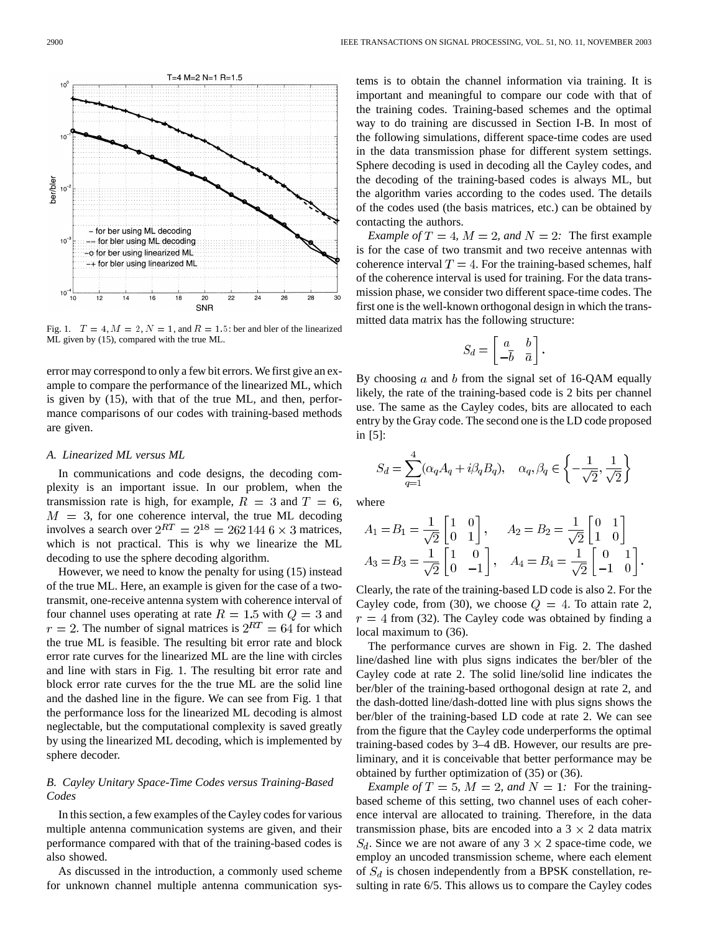$T=4 M=2 N=1 R=1.5$  $10<sup>1</sup>$  $10$ ber/bler<br>o - for ber using ML decoding  $10<sup>7</sup>$ -- for bler using ML decoding -o for ber using linearized ML -+ for bler using linearized ML  $10<sup>7</sup>$ 20  $\overline{2}$  $2<sub>4</sub>$  $26$  $28$ SNR

Fig. 1.  $T = 4$ ,  $M = 2$ ,  $N = 1$ , and  $R = 1.5$ : ber and bler of the linearized ML given by (15), compared with the true ML.

error may correspond to only a few bit errors. We first give an example to compare the performance of the linearized ML, which is given by (15), with that of the true ML, and then, performance comparisons of our codes with training-based methods are given.

## *A. Linearized ML versus ML*

In communications and code designs, the decoding complexity is an important issue. In our problem, when the transmission rate is high, for example,  $R = 3$  and  $T = 6$ ,  $M = 3$ , for one coherence interval, the true ML decoding involves a search over  $2^{RT} = 2^{18} = 2621446 \times 3$  matrices, which is not practical. This is why we linearize the ML decoding to use the sphere decoding algorithm.

However, we need to know the penalty for using (15) instead of the true ML. Here, an example is given for the case of a twotransmit, one-receive antenna system with coherence interval of four channel uses operating at rate  $R = 1.5$  with  $Q = 3$  and  $r = 2$ . The number of signal matrices is  $2^{RT} = 64$  for which the true ML is feasible. The resulting bit error rate and block error rate curves for the linearized ML are the line with circles and line with stars in Fig. 1. The resulting bit error rate and block error rate curves for the the true ML are the solid line and the dashed line in the figure. We can see from Fig. 1 that the performance loss for the linearized ML decoding is almost neglectable, but the computational complexity is saved greatly by using the linearized ML decoding, which is implemented by sphere decoder.

# *B. Cayley Unitary Space-Time Codes versus Training-Based Codes*

In this section, a few examples of the Cayley codes for various multiple antenna communication systems are given, and their performance compared with that of the training-based codes is also showed.

As discussed in the introduction, a commonly used scheme for unknown channel multiple antenna communication systems is to obtain the channel information via training. It is important and meaningful to compare our code with that of the training codes. Training-based schemes and the optimal way to do training are discussed in Section I-B. In most of the following simulations, different space-time codes are used in the data transmission phase for different system settings. Sphere decoding is used in decoding all the Cayley codes, and the decoding of the training-based codes is always ML, but the algorithm varies according to the codes used. The details of the codes used (the basis matrices, etc.) can be obtained by contacting the authors.

*Example of*  $T = 4$ ,  $M = 2$ , and  $N = 2$ . The first example is for the case of two transmit and two receive antennas with coherence interval  $T = 4$ . For the training-based schemes, half of the coherence interval is used for training. For the data transmission phase, we consider two different space-time codes. The first one is the well-known orthogonal design in which the transmitted data matrix has the following structure:

$$
S_d = \begin{bmatrix} a & b \\ -\overline{b} & \overline{a} \end{bmatrix}
$$

By choosing a and b from the signal set of 16-QAM equally likely, the rate of the training-based code is 2 bits per channel use. The same as the Cayley codes, bits are allocated to each entry by the Gray code. The second one is the LD code proposed in [5]:

$$
S_d = \sum_{q=1}^4 (\alpha_q A_q + i \beta_q B_q), \quad \alpha_q, \beta_q \in \left\{ -\frac{1}{\sqrt{2}}, \frac{1}{\sqrt{2}} \right\}
$$

where

$$
A_1 = B_1 = \frac{1}{\sqrt{2}} \begin{bmatrix} 1 & 0 \\ 0 & 1 \end{bmatrix}, \quad A_2 = B_2 = \frac{1}{\sqrt{2}} \begin{bmatrix} 0 & 1 \\ 1 & 0 \end{bmatrix}
$$
  

$$
A_3 = B_3 = \frac{1}{\sqrt{2}} \begin{bmatrix} 1 & 0 \\ 0 & -1 \end{bmatrix}, \quad A_4 = B_4 = \frac{1}{\sqrt{2}} \begin{bmatrix} 0 & 1 \\ -1 & 0 \end{bmatrix}.
$$

Clearly, the rate of the training-based LD code is also 2. For the Cayley code, from (30), we choose  $Q = 4$ . To attain rate 2,  $r = 4$  from (32). The Cayley code was obtained by finding a local maximum to (36).

The performance curves are shown in Fig. 2. The dashed line/dashed line with plus signs indicates the ber/bler of the Cayley code at rate 2. The solid line/solid line indicates the ber/bler of the training-based orthogonal design at rate 2, and the dash-dotted line/dash-dotted line with plus signs shows the ber/bler of the training-based LD code at rate 2. We can see from the figure that the Cayley code underperforms the optimal training-based codes by 3–4 dB. However, our results are preliminary, and it is conceivable that better performance may be obtained by further optimization of (35) or (36).

*Example of*  $T = 5$ ,  $M = 2$ , and  $N = 1$ . For the trainingbased scheme of this setting, two channel uses of each coherence interval are allocated to training. Therefore, in the data transmission phase, bits are encoded into a  $3 \times 2$  data matrix  $S_d$ . Since we are not aware of any 3  $\times$  2 space-time code, we employ an uncoded transmission scheme, where each element of  $S_d$  is chosen independently from a BPSK constellation, resulting in rate 6/5. This allows us to compare the Cayley codes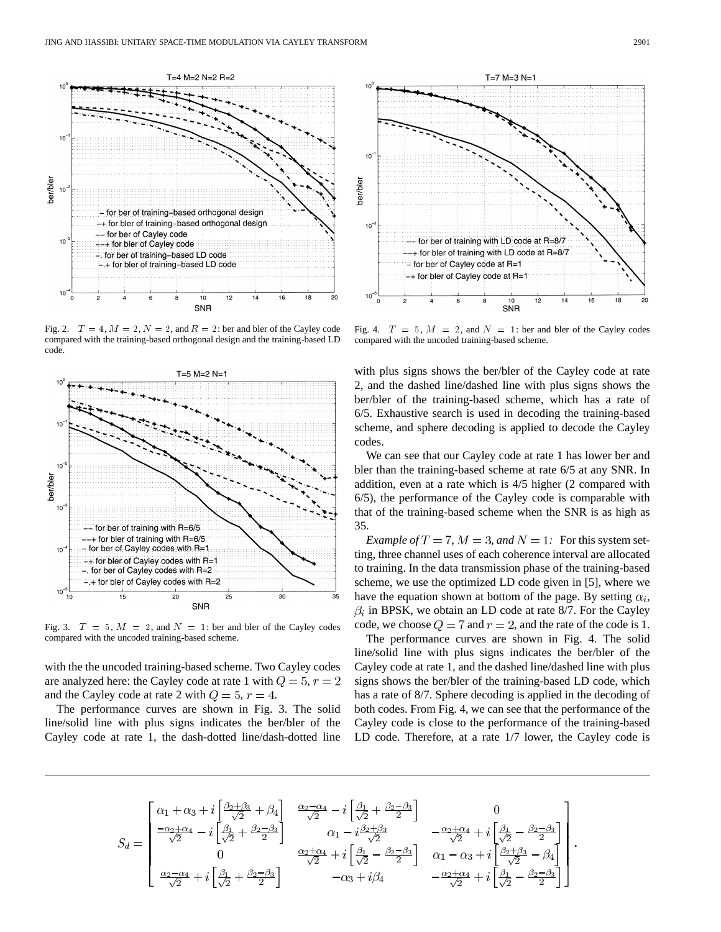

Fig. 2.  $T = 4$ ,  $M = 2$ ,  $N = 2$ , and  $R = 2$ : ber and bler of the Cayley code compared with the training-based orthogonal design and the training-based LD code.



Fig. 3.  $T = 5$ ,  $M = 2$ , and  $N = 1$ : ber and bler of the Cayley codes compared with the uncoded training-based scheme.

with the the uncoded training-based scheme. Two Cayley codes are analyzed here: the Cayley code at rate 1 with  $Q = 5, r = 2$ and the Cayley code at rate 2 with  $Q = 5$ ,  $r = 4$ .

The performance curves are shown in Fig. 3. The solid line/solid line with plus signs indicates the ber/bler of the Cayley code at rate 1, the dash-dotted line/dash-dotted line



Fig. 4.  $T = 5$ ,  $M = 2$ , and  $N = 1$ : ber and bler of the Cayley codes compared with the uncoded training-based scheme.

with plus signs shows the ber/bler of the Cayley code at rate 2, and the dashed line/dashed line with plus signs shows the ber/bler of the training-based scheme, which has a rate of 6/5. Exhaustive search is used in decoding the training-based scheme, and sphere decoding is applied to decode the Cayley codes.

We can see that our Cayley code at rate 1 has lower ber and bler than the training-based scheme at rate 6/5 at any SNR. In addition, even at a rate which is 4/5 higher (2 compared with 6/5), the performance of the Cayley code is comparable with that of the training-based scheme when the SNR is as high as 35.

*Example of*  $T = 7$ ,  $M = 3$ , and  $N = 1$ . For this system setting, three channel uses of each coherence interval are allocated to training. In the data transmission phase of the training-based scheme, we use the optimized LD code given in [5], where we have the equation shown at bottom of the page. By setting  $\alpha_i$ ,  $\beta_i$  in BPSK, we obtain an LD code at rate 8/7. For the Cayley code, we choose  $Q = 7$  and  $r = 2$ , and the rate of the code is 1.

The performance curves are shown in Fig. 4. The solid line/solid line with plus signs indicates the ber/bler of the Cayley code at rate 1, and the dashed line/dashed line with plus signs shows the ber/bler of the training-based LD code, which has a rate of 8/7. Sphere decoding is applied in the decoding of both codes. From Fig. 4, we can see that the performance of the Cayley code is close to the performance of the training-based LD code. Therefore, at a rate 1/7 lower, the Cayley code is

$$
S_d=\begin{bmatrix}\alpha_1+\alpha_3+i\left[\frac{\beta_2+\beta_3}{\sqrt{2}}+\beta_4\right] & \frac{\alpha_2-\alpha_4}{\sqrt{2}}-i\left[\frac{\beta_1}{\sqrt{2}}+\frac{\beta_2-\beta_3}{2}\right] & 0\\[0.4em] \frac{-\alpha_2+\alpha_4}{\sqrt{2}}-i\left[\frac{\beta_1}{\sqrt{2}}+\frac{\beta_2-\beta_3}{2}\right] & \alpha_1-i\frac{\beta_2+\beta_3}{\sqrt{2}} & -\frac{\alpha_2+\alpha_4}{\sqrt{2}}+i\left[\frac{\beta_1}{\sqrt{2}}-\frac{\beta_2-\beta_3}{2}\right] \\[0.4em] 0 & \frac{\alpha_2+\alpha_4}{\sqrt{2}}+i\left[\frac{\beta_1}{\sqrt{2}}+\frac{\beta_2-\beta_3}{2}\right] & \alpha_1-\alpha_3+i\left[\frac{\beta_2+\beta_3}{\sqrt{2}}-\beta_4\right] \\[0.4em] \frac{\alpha_2-\alpha_4}{\sqrt{2}}+i\left[\frac{\beta_1}{\sqrt{2}}+\frac{\beta_2-\beta_3}{2}\right] & -\alpha_3+i\beta_4 & -\frac{\alpha_2+\alpha_4}{\sqrt{2}}+i\left[\frac{\beta_1}{\sqrt{2}}-\frac{\beta_2-\beta_3}{2}\right] \end{bmatrix}.
$$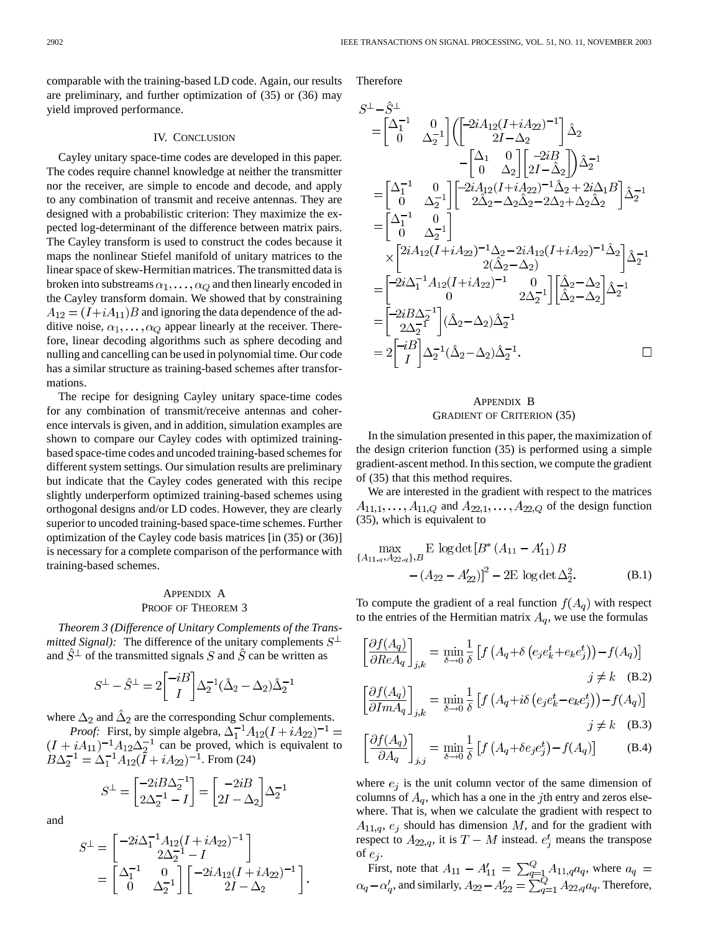comparable with the training-based LD code. Again, our results are preliminary, and further optimization of (35) or (36) may yield improved performance.

## IV. CONCLUSION

Cayley unitary space-time codes are developed in this paper. The codes require channel knowledge at neither the transmitter nor the receiver, are simple to encode and decode, and apply to any combination of transmit and receive antennas. They are designed with a probabilistic criterion: They maximize the expected log-determinant of the difference between matrix pairs. The Cayley transform is used to construct the codes because it maps the nonlinear Stiefel manifold of unitary matrices to the linear space of skew-Hermitian matrices. The transmitted data is broken into substreams  $\alpha_1, \ldots, \alpha_Q$  and then linearly encoded in the Cayley transform domain. We showed that by constraining  $A_{12} = (I + iA_{11})B$  and ignoring the data dependence of the additive noise,  $\alpha_1, \ldots, \alpha_Q$  appear linearly at the receiver. Therefore, linear decoding algorithms such as sphere decoding and nulling and cancelling can be used in polynomial time. Our code has a similar structure as training-based schemes after transformations.

The recipe for designing Cayley unitary space-time codes for any combination of transmit/receive antennas and coherence intervals is given, and in addition, simulation examples are shown to compare our Cayley codes with optimized trainingbased space-time codes and uncoded training-based schemes for different system settings. Our simulation results are preliminary but indicate that the Cayley codes generated with this recipe slightly underperform optimized training-based schemes using orthogonal designs and/or LD codes. However, they are clearly superior to uncoded training-based space-time schemes. Further optimization of the Cayley code basis matrices [in (35) or (36)] is necessary for a complete comparison of the performance with training-based schemes.

# APPENDIX A PROOF OF THEOREM 3

*Theorem 3 (Difference of Unitary Complements of the Transmitted Signal)*: The difference of the unitary complements  $S^{\perp}$ and  $\hat{S}^{\perp}$  of the transmitted signals S and  $\hat{S}$  can be written as

$$
S^{\perp} - \hat{S}^{\perp} = 2 \begin{bmatrix} -iB \\ I \end{bmatrix} \Delta_2^{-1} (\hat{\Delta}_2 - \Delta_2) \hat{\Delta}_2^{-1}
$$

where  $\Delta_2$  and  $\Delta_2$  are the corresponding Schur complements.

*Proof:* First, by simple algebra, can be proved, which is equivalent to . From (24)

$$
S^{\perp} = \begin{bmatrix} -2iB\Delta_2^{-1} \\ 2\Delta_2^{-1} - I \end{bmatrix} = \begin{bmatrix} -2iB \\ 2I - \Delta_2 \end{bmatrix} \Delta_2^{-1}
$$

and

$$
S^{\perp} = \begin{bmatrix} -2i\Delta_1^{-1}A_{12}(I + iA_{22})^{-1} \\ 2\Delta_2^{-1} - I \end{bmatrix}
$$
  
= 
$$
\begin{bmatrix} \Delta_1^{-1} & 0 \\ 0 & \Delta_2^{-1} \end{bmatrix} \begin{bmatrix} -2iA_{12}(I + iA_{22})^{-1} \\ 2I - \Delta_2 \end{bmatrix}.
$$

Therefore

$$
S^{\perp} - \hat{S}^{\perp}
$$
\n
$$
= \begin{bmatrix} \Delta_1^{-1} & 0 \\ 0 & \Delta_2^{-1} \end{bmatrix} \left( \begin{bmatrix} -2iA_{12}(I + iA_{22})^{-1} \\ 2I - \Delta_2 \end{bmatrix} \hat{\Delta}_2 - \begin{bmatrix} \Delta_1 & 0 \\ 0 & \Delta_2 \end{bmatrix} \begin{bmatrix} -2iB \\ 2I - \hat{\Delta}_2 \end{bmatrix} \right) \hat{\Delta}_2^{-1}
$$
\n
$$
= \begin{bmatrix} \Delta_1^{-1} & 0 \\ 0 & \Delta_2^{-1} \end{bmatrix} \begin{bmatrix} -2iA_{12}(I + iA_{22})^{-1} \hat{\Delta}_2 + 2i\Delta_1B \\ 2\hat{\Delta}_2 - \Delta_2\hat{\Delta}_2 - 2\Delta_2 + \Delta_2\hat{\Delta}_2 \end{bmatrix} \hat{\Delta}_2^{-1}
$$
\n
$$
= \begin{bmatrix} \Delta_1^{-1} & 0 \\ 0 & \Delta_2^{-1} \end{bmatrix}
$$
\n
$$
\times \begin{bmatrix} 2iA_{12}(I + iA_{22})^{-1} \Delta_2 - 2iA_{12}(I + iA_{22})^{-1} \hat{\Delta}_2 \\ 2(\hat{\Delta}_2 - \Delta_2) \end{bmatrix} \hat{\Delta}_2^{-1}
$$
\n
$$
= \begin{bmatrix} -2i\Delta_1^{-1}A_{12}(I + iA_{22})^{-1} & 0 \\ 0 & 2\Delta_2^{-1} \end{bmatrix} \begin{bmatrix} \hat{\Delta}_2 - \Delta_2 \\ \hat{\Delta}_2 - \Delta_2 \end{bmatrix} \hat{\Delta}_2^{-1}
$$
\n
$$
= \begin{bmatrix} -2iB\Delta_2^{-1} \\ 2\Delta_2^{-1} \end{bmatrix} (\hat{\Delta}_2 - \Delta_2) \hat{\Delta}_2^{-1}
$$
\n
$$
= 2 \begin{bmatrix} -iB \\ I \end{bmatrix} \Delta_2^{-1} (\hat{\Delta}_2 - \Delta_2) \hat{\Delta}_2^{-1}.
$$

# APPENDIX B GRADIENT OF CRITERION (35)

In the simulation presented in this paper, the maximization of the design criterion function (35) is performed using a simple gradient-ascent method. In this section, we compute the gradient of (35) that this method requires.

We are interested in the gradient with respect to the matrices  $A_{11,1}, \ldots, A_{11,Q}$  and  $A_{22,1}, \ldots, A_{22,Q}$  of the design function (35), which is equivalent to

$$
\max_{\{A_{11,q}, A_{22,q}\}, B} \mathbf{E} \log \det \left[ B^* \left( A_{11} - A'_{11} \right) B - \left( A_{22} - A'_{22} \right) \right]^2 - 2 \mathbf{E} \log \det \Delta_2^2.
$$
 (B.1)

To compute the gradient of a real function  $f(A_q)$  with respect to the entries of the Hermitian matrix  $A_q$ , we use the formulas

$$
\left[\frac{\partial f(A_q)}{\partial Re A_q}\right]_{j,k} = \min_{\delta \to 0} \frac{1}{\delta} \left[ f\left(A_q + \delta\left(e_j e_k^t + e_k e_j^t\right)\right) - f(A_q) \right]
$$
  

$$
j \neq k \quad (B.2)
$$

$$
\left[\frac{\partial f(A_q)}{\partial Im A_q}\right]_{j,k} = \min_{\delta \to 0} \frac{1}{\delta} \left[ f\left(A_q + i\delta\left(e_j e_k^t - e_k e_j^t\right)\right) - f(A_q) \right]
$$
  
 $j \neq k$  (B.3)

$$
\left[\frac{\partial f(A_q)}{\partial A_q}\right]_{j,j} = \min_{\delta \to 0} \frac{1}{\delta} \left[ f\left(A_q + \delta e_j e_j^t\right) - f(A_q) \right]
$$
(B.4)

where  $e_j$  is the unit column vector of the same dimension of columns of  $A_q$ , which has a one in the *j*th entry and zeros elsewhere. That is, when we calculate the gradient with respect to  $A_{11,q}, e_j$  should has dimension M, and for the gradient with respect to  $A_{22,q}$ , it is  $T - M$  instead.  $e_i^t$  means the transpose of  $e_j$ .

First, note that  $A_{11} - A'_{11} = \sum_{q=1}^{Q} A_{11,q} a_q$ , where , and similarly,  $A_{22} - A'_{22} = \sum_{q=1}^{Q} A_{22,q} a_q$ . Therefore,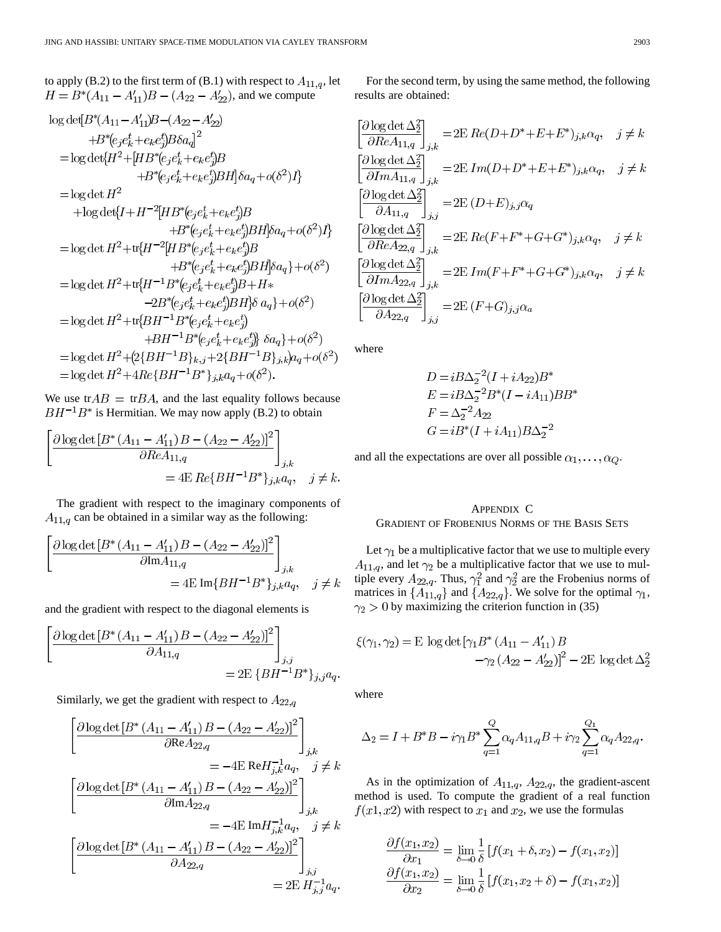to apply (B.2) to the first term of (B.1) with respect to  $A_{11,q}$ , let , and we compute

$$
log det[B^*(A_{11} - A'_{11})B - (A_{22} - A'_{22})+B^*(e_j e_k^t + e_k e_j^t)Ba_q]^2= log det\{H^2 + [HB^*(e_j e_k^t + e_k e_j^t)B\}+B^*(e_j e_k^t + e_k e_j^t)BH]\delta a_q + o(\delta^2)I\}= log det H^2+ log det\{I + H^{-2}[HB^*(e_j e_k^t + e_k e_j^t)B\}+B^*(e_j e_k^t + e_k e_j^t)BH]\delta a_q + o(\delta^2)I\}= log det H^2 + tr\{H^{-2}[HB^*(e_j e_k^t + e_k e_j^t)B\}+B^*(e_j e_k^t + e_k e_j^t)BH]\delta a_q\} + o(\delta^2)= log det H^2 + tr\{H^{-1}B^*(e_j e_k^t + e_k e_j^t)B + H^*-2B^*(e_j e_k^t + e_k e_j^t)BH]\delta a_q\} + o(\delta^2)= log det H^2 + tr\{BH^{-1}B^*(e_j e_k^t + e_k e_j^t)\}+BH^{-1}B^*(e_j e_k^t + e_k e_j^t)\delta a_q\} + o(\delta^2)= log det H^2 + (2{BH^{-1}B}_{k,j} + 2{BH^{-1}B}_{j,k})a_q + o(\delta^2)= log det H^2 + 4Re\{BH^{-1}B^* \}_{j,k}a_q + o(\delta^2).
$$

We use tr $AB = \text{tr} BA$ , and the last equality follows because  $BH^{-1}B^*$  is Hermitian. We may now apply (B.2) to obtain

$$
\left[\frac{\partial \log \det \left[B^*(A_{11} - A'_{11}) B - (A_{22} - A'_{22})\right]^2}{\partial Re A_{11,q}}\right]_{j,k}
$$
  
= 4E Re{BH<sup>-1</sup>B<sup>\*</sup>}<sub>j,k</sub>a<sub>q</sub>, j \neq k.

The gradient with respect to the imaginary components of  $A_{11,q}$  can be obtained in a similar way as the following:

$$
\left[\frac{\partial \log \det \left[B^*(A_{11} - A'_{11}) B - (A_{22} - A'_{22})\right]^2}{\partial \text{Im} A_{11,q}}\right]_{j,k}
$$
  
= 4E Im{ $BH^{-1}B^*$ }<sub>j,k</sub> $a_q$ ,  $j \neq k$ 

and the gradient with respect to the diagonal elements is

$$
\frac{\partial \log \det \left[ B^* \left( A_{11} - A'_{11} \right) B - \left( A_{22} - A'_{22} \right) \right]^2}{\partial A_{11,q}} \Big]_{j,j}
$$
  
= 2E \{BH^{-1}B^\* \}\_{j,j} a\_q.

Similarly, we get the gradient with respect to  $A_{22,q}$ 

$$
\left[\frac{\partial \log \det \left[B^*(A_{11} - A'_{11}) B - (A_{22} - A'_{22})\right]^2}{\partial \text{Re} A_{22,q}}\right]_{j,k}
$$
\n
$$
= -4\mathrm{E} \, \text{Re} H_{j,k}^{-1} a_q, \quad j \neq k
$$
\n
$$
\left[\frac{\partial \log \det \left[B^*(A_{11} - A'_{11}) B - (A_{22} - A'_{22})\right]^2}{\partial \text{Im} A_{22,q}}\right]_{j,k}
$$
\n
$$
= -4\mathrm{E} \, \text{Im} H_{j,k}^{-1} a_q, \quad j \neq k
$$
\n
$$
\left[\frac{\partial \log \det \left[B^*(A_{11} - A'_{11}) B - (A_{22} - A'_{22})\right]^2}{\partial A_{22,q}}\right]_{j,j}
$$
\n
$$
= 2\mathrm{E} \, H_{j,j}^{-1} a_q.
$$

For the second term, by using the same method, the following results are obtained:

$$
\left[\frac{\partial \log \det \Delta_2^2}{\partial Re A_{11,q}}\right]_{j,k} = 2E \, Re(D+D^* + E + E^*)_{j,k}\alpha_q, \quad j \neq k
$$
\n
$$
\left[\frac{\partial \log \det \Delta_2^2}{\partial Im A_{11,q}}\right]_{j,k} = 2E \, Im(D+D^* + E + E^*)_{j,k}\alpha_q, \quad j \neq k
$$
\n
$$
\left[\frac{\partial \log \det \Delta_2^2}{\partial A_{11,q}}\right]_{j,j} = 2E \, (D+E)_{j,j}\alpha_q
$$
\n
$$
\left[\frac{\partial \log \det \Delta_2^2}{\partial Re A_{22,q}}\right]_{j,k} = 2E \, Re(F + F^* + G + G^*)_{j,k}\alpha_q, \quad j \neq k
$$
\n
$$
\left[\frac{\partial \log \det \Delta_2^2}{\partial Im A_{22,q}}\right]_{j,k} = 2E \, Im(F + F^* + G + G^*)_{j,k}\alpha_q, \quad j \neq k
$$
\n
$$
\left[\frac{\partial \log \det \Delta_2^2}{\partial A_{22,q}}\right]_{j,j} = 2E \, (F + G)_{j,j}\alpha_a
$$

where

$$
D = iB\Delta_2^{-2}(I + iA_{22})B^*
$$
  
\n
$$
E = iB\Delta_2^{-2}B^*(I - iA_{11})BB^*
$$
  
\n
$$
F = \Delta_2^{-2}A_{22}
$$
  
\n
$$
G = iB^*(I + iA_{11})B\Delta_2^{-2}
$$

and all the expectations are over all possible  $\alpha_1, \ldots, \alpha_Q$ .

# APPENDIX C GRADIENT OF FROBENIUS NORMS OF THE BASIS SETS

Let  $\gamma_1$  be a multiplicative factor that we use to multiple every  $A_{11,q}$ , and let  $\gamma_2$  be a multiplicative factor that we use to multiple every  $A_{22,q}$ . Thus,  $\gamma_1^2$  and  $\gamma_2^2$  are the Frobenius norms of matrices in  $\{A_{11,q}\}\$  and  $\{A_{22,q}\}\$ . We solve for the optimal  $\gamma_1$ ,  $\gamma_2 > 0$  by maximizing the criterion function in (35)

$$
\xi(\gamma_1, \gamma_2) = \mathcal{E} \log \det \left[ \gamma_1 B^* \left( A_{11} - A'_{11} \right) B - \gamma_2 \left( A_{22} - A'_{22} \right) \right]^2 - 2 \mathcal{E} \log \det \Delta_2^2
$$

where

$$
\Delta_2=I+B^*B-i\gamma_1B^*\sum_{q=1}^Q\alpha_qA_{11,q}B+i\gamma_2\sum_{q=1}^{Q_1}\alpha_qA_{22,q}.
$$

As in the optimization of  $A_{11,q}$ ,  $A_{22,q}$ , the gradient-ascent method is used. To compute the gradient of a real function  $f(x1, x2)$  with respect to  $x_1$  and  $x_2$ , we use the formulas

$$
\frac{\partial f(x_1, x_2)}{\partial x_1} = \lim_{\delta \to 0} \frac{1}{\delta} [f(x_1 + \delta, x_2) - f(x_1, x_2)]
$$

$$
\frac{\partial f(x_1, x_2)}{\partial x_2} = \lim_{\delta \to 0} \frac{1}{\delta} [f(x_1, x_2 + \delta) - f(x_1, x_2)]
$$